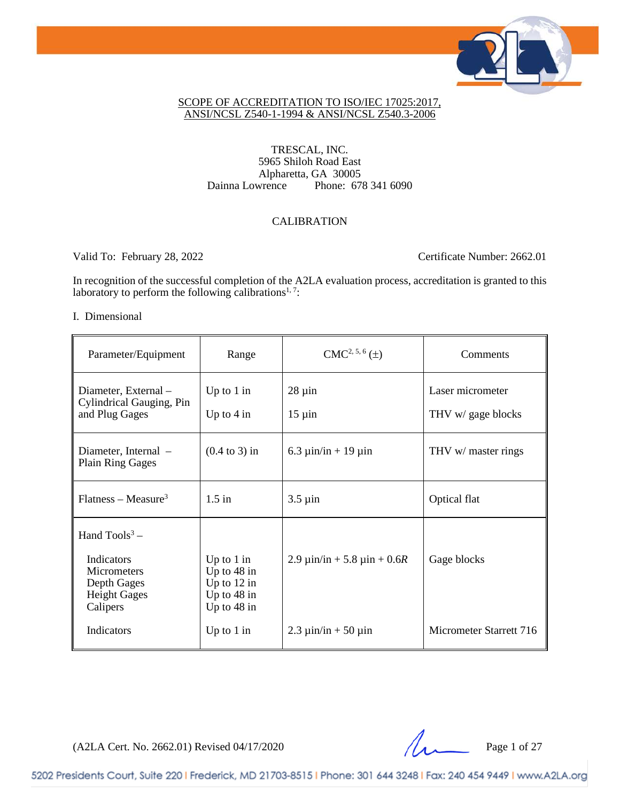

### SCOPE OF ACCREDITATION TO ISO/IEC 17025:2017, ANSI/NCSL Z540-1-1994 & ANSI/NCSL Z540.3-2006

### TRESCAL, INC. 5965 Shiloh Road East Alpharetta, GA 30005<br>Dainna Lowrence Phone: 67 Phone: 678 341 6090

## CALIBRATION

Valid To: February 28, 2022 Certificate Number: 2662.01

In recognition of the successful completion of the A2LA evaluation process, accreditation is granted to this laboratory to perform the following calibrations<sup>1, 7</sup>:

#### I. Dimensional

| Parameter/Equipment                                                                                   | Range                                                                            | $CMC2, 5, 6(\pm)$                     | Comments                               |
|-------------------------------------------------------------------------------------------------------|----------------------------------------------------------------------------------|---------------------------------------|----------------------------------------|
| Diameter, External -<br>Cylindrical Gauging, Pin<br>and Plug Gages                                    | Up to $1$ in<br>Up to $4 \text{ in}$                                             | $28 \mu$ in<br>$15 \mu$ in            | Laser micrometer<br>THV w/ gage blocks |
| Diameter, Internal –<br><b>Plain Ring Gages</b>                                                       | $(0.4 \text{ to } 3)$ in                                                         | 6.3 $\mu$ in/in + 19 $\mu$ in         | THV w/ master rings                    |
| $Flatness - Measure3$                                                                                 | $1.5$ in                                                                         | $3.5 \mu$ in                          | Optical flat                           |
| Hand $Tools3$ –<br>Indicators<br><b>Micrometers</b><br>Depth Gages<br><b>Height Gages</b><br>Calipers | Up to $1$ in<br>Up to $48$ in<br>Up to $12$ in<br>Up to $48$ in<br>Up to $48$ in | 2.9 $\mu$ in/in + 5.8 $\mu$ in + 0.6R | Gage blocks                            |
| Indicators                                                                                            | Up to $1$ in                                                                     | $2.3 \mu$ in/in + 50 $\mu$ in         | Micrometer Starrett 716                |

(A2LA Cert. No. 2662.01) Revised 04/17/2020 Page 1 of 27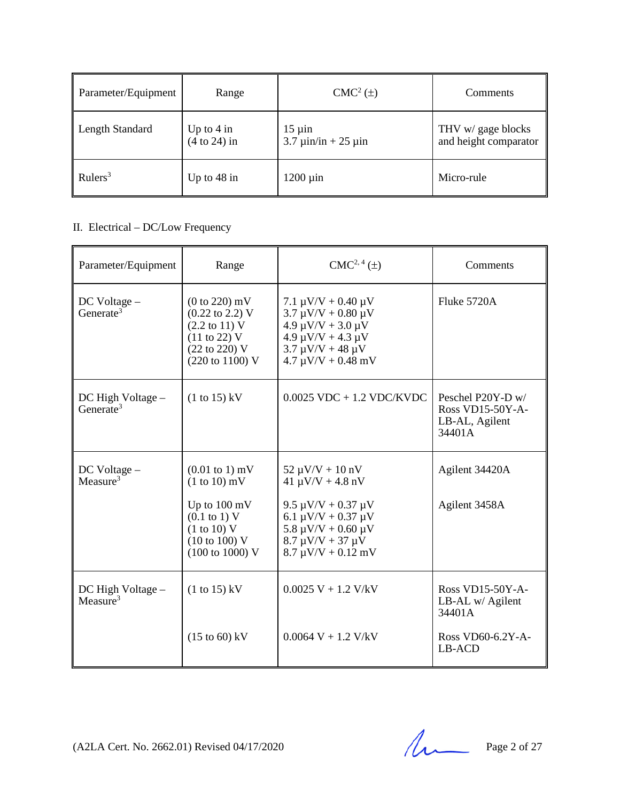| Parameter/Equipment | Range                          | $CMC2(\pm)$                                                                | Comments                                    |
|---------------------|--------------------------------|----------------------------------------------------------------------------|---------------------------------------------|
| Length Standard     | Up to $4$ in<br>$(4 to 24)$ in | $15 \mu$ in<br>$3.7 \text{ } \mu \text{in/in} + 25 \text{ } \mu \text{in}$ | THV w/ gage blocks<br>and height comparator |
| Rulers <sup>3</sup> | Up to $48$ in                  | $1200 \mu$ in                                                              | Micro-rule                                  |

# II. Electrical – DC/Low Frequency

| Parameter/Equipment                        | Range                                                                                                                                                                                                     | $CMC2, 4(\pm)$                                                                                                                                                                                        | Comments                                                          |
|--------------------------------------------|-----------------------------------------------------------------------------------------------------------------------------------------------------------------------------------------------------------|-------------------------------------------------------------------------------------------------------------------------------------------------------------------------------------------------------|-------------------------------------------------------------------|
| $DC$ Voltage $-$<br>Generate <sup>3</sup>  | $(0 to 220)$ mV<br>$(0.22 \text{ to } 2.2) \text{ V}$<br>$(2.2 \text{ to } 11) \text{ V}$<br>$(11 \text{ to } 22)$ V<br>(22 to 220) V<br>(220 to 1100) V                                                  | 7.1 $\mu$ V/V + 0.40 $\mu$ V<br>$3.7 \mu V/V + 0.80 \mu V$<br>$4.9 \mu V/V + 3.0 \mu V$<br>$4.9 \mu V/V + 4.3 \mu V$<br>$3.7 \mu V/V + 48 \mu V$<br>$4.7 \mu V/V + 0.48 \ mV$                         | Fluke 5720A                                                       |
| DC High Voltage –<br>Generate <sup>3</sup> | $(1 to 15)$ kV                                                                                                                                                                                            | $0.0025$ VDC + 1.2 VDC/KVDC                                                                                                                                                                           | Peschel P20Y-D w/<br>Ross VD15-50Y-A-<br>LB-AL, Agilent<br>34401A |
| DC Voltage -<br>Measure <sup>3</sup>       | $(0.01 \text{ to } 1) \text{ mV}$<br>$(1 to 10)$ mV<br>Up to $100 \text{ mV}$<br>$(0.1 \text{ to } 1) \text{ V}$<br>(1 to 10) V<br>$(10 \text{ to } 100) \text{ V}$<br>$(100 \text{ to } 1000) \text{ V}$ | $52 \mu V/V + 10 \ nV$<br>$41 \mu V/V + 4.8 \n\text{nV}$<br>9.5 μV/V + 0.37 μV<br>6.1 $\mu$ V/V + 0.37 $\mu$ V<br>$5.8 \mu V/V + 0.60 \mu V$<br>$8.7 \mu V/V + 37 \mu V$<br>$8.7 \mu V/V + 0.12 \ mV$ | Agilent 34420A<br>Agilent 3458A                                   |
| DC High Voltage -<br>Measure <sup>3</sup>  | $(1 to 15)$ kV                                                                                                                                                                                            | $0.0025 V + 1.2 V/kV$                                                                                                                                                                                 | Ross VD15-50Y-A-<br>LB-AL w/ Agilent<br>34401A                    |
|                                            | $(15 \text{ to } 60) \text{ kV}$                                                                                                                                                                          | $0.0064 V + 1.2 V/kV$                                                                                                                                                                                 | Ross VD60-6.2Y-A-<br>LB-ACD                                       |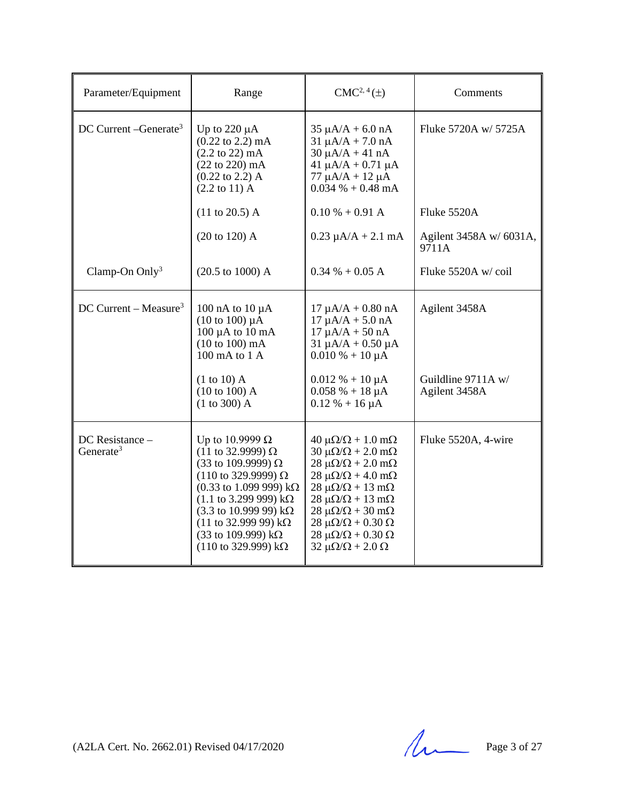| Parameter/Equipment                          | Range                                                                                                                                                                                                                                                                                                                                                                                                     | $CMC2, 4(\pm)$                                                                                                                                                                                                                                                                                                                                                                                                                               | Comments                                             |
|----------------------------------------------|-----------------------------------------------------------------------------------------------------------------------------------------------------------------------------------------------------------------------------------------------------------------------------------------------------------------------------------------------------------------------------------------------------------|----------------------------------------------------------------------------------------------------------------------------------------------------------------------------------------------------------------------------------------------------------------------------------------------------------------------------------------------------------------------------------------------------------------------------------------------|------------------------------------------------------|
| DC Current - Generate <sup>3</sup>           | Up to $220 \mu A$<br>$(0.22 \text{ to } 2.2) \text{ mA}$<br>$(2.2 \text{ to } 22) \text{ mA}$<br>$(22 to 220)$ mA<br>$(0.22 \text{ to } 2.2)$ A<br>$(2.2 \text{ to } 11)$ A                                                                                                                                                                                                                               | $35 \mu A/A + 6.0 \text{ nA}$<br>$31 \mu A/A + 7.0 \text{ nA}$<br>$30 \mu A/A + 41 nA$<br>$41 \mu A/A + 0.71 \mu A$<br>$77 \mu A/A + 12 \mu A$<br>$0.034\% + 0.48 \text{ mA}$                                                                                                                                                                                                                                                                | Fluke 5720A w/ 5725A                                 |
|                                              | $(11 \text{ to } 20.5)$ A                                                                                                                                                                                                                                                                                                                                                                                 | $0.10 % + 0.91 A$                                                                                                                                                                                                                                                                                                                                                                                                                            | Fluke 5520A                                          |
|                                              | (20 to 120) A                                                                                                                                                                                                                                                                                                                                                                                             | $0.23 \mu A/A + 2.1 \text{ mA}$                                                                                                                                                                                                                                                                                                                                                                                                              | Agilent 3458A w/ 6031A,<br>9711A                     |
| Clamp-On Only $3$                            | $(20.5 \text{ to } 1000) \text{ A}$                                                                                                                                                                                                                                                                                                                                                                       | $0.34 \% + 0.05 A$                                                                                                                                                                                                                                                                                                                                                                                                                           | Fluke 5520A w/coil                                   |
| DC Current – Measure <sup>3</sup>            | 100 nA to $10 \mu A$<br>$(10 \text{ to } 100) \mu A$<br>$100 \mu A$ to $10 \text{ mA}$<br>(10 to 100) mA<br>$100 \text{ mA}$ to $1 \text{ A}$<br>$(1 to 10)$ A<br>(10 to 100) A<br>(1 to 300) A                                                                                                                                                                                                           | $17 \mu A/A + 0.80 \text{ nA}$<br>$17 \mu A/A + 5.0 \text{ nA}$<br>$17 \mu A/A + 50 nA$<br>$31 \mu A/A + 0.50 \mu A$<br>$0.010\% + 10 \mu A$<br>$0.012 \% + 10 \mu A$<br>$0.058 \% + 18 \mu A$<br>$0.12 \% + 16 \mu A$                                                                                                                                                                                                                       | Agilent 3458A<br>Guildline 9711A w/<br>Agilent 3458A |
| $DC$ Resistance $-$<br>Generate <sup>3</sup> | Up to 10.9999 $\Omega$<br>$(11$ to 32.9999) Ω<br>(33 to 109.9999) $\Omega$<br>$(110 \text{ to } 329.9999) \Omega$<br>$(0.33 \text{ to } 1.099 \text{ 999}) \text{ k}\Omega$<br>$(1.1 \text{ to } 3.299 \text{ 999}) \text{ k}\Omega$<br>$(3.3 \text{ to } 10.999 \text{ } 99) \text{ k}\Omega$<br>(11 to 32.999 99) $k\Omega$<br>(33 to 109.999) $k\Omega$<br>$(110 \text{ to } 329.999) \text{ k}\Omega$ | $40 \mu\Omega/\Omega + 1.0 \text{ m}\Omega$<br>$30 \mu\Omega/\Omega + 2.0 \text{ m}\Omega$<br>$28 \mu\Omega/\Omega + 2.0 \text{ m}\Omega$<br>$28 \mu\Omega/\Omega + 4.0 \text{ m}\Omega$<br>$28 \mu\Omega/\Omega + 13 \text{ mA}$<br>$28 \mu\Omega/\Omega + 13 \text{ mA}$<br>$28 \mu\Omega/\Omega + 30 \text{ m}\Omega$<br>$28 \mu\Omega/\Omega + 0.30 \Omega$<br>$28 \mu\Omega/\Omega + 0.30 \Omega$<br>$32 \mu\Omega/\Omega + 2.0 \Omega$ | Fluke 5520A, 4-wire                                  |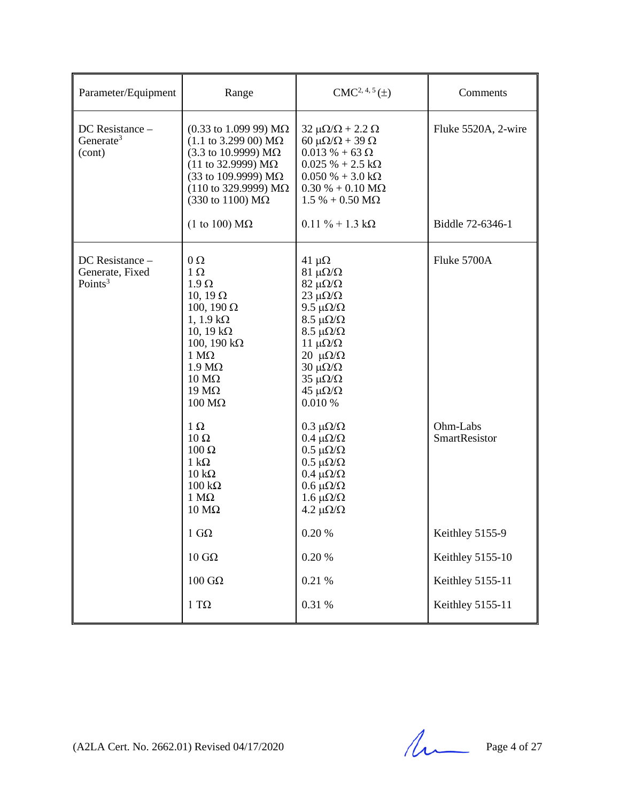| Parameter/Equipment                                | Range                                                                                                                                                                                                                                                                                                                                                                                                           | $CMC2, 4, 5(\pm)$                                                                                                                                                                                                                                                                                                                                                                                                                                                                                           | Comments                                        |
|----------------------------------------------------|-----------------------------------------------------------------------------------------------------------------------------------------------------------------------------------------------------------------------------------------------------------------------------------------------------------------------------------------------------------------------------------------------------------------|-------------------------------------------------------------------------------------------------------------------------------------------------------------------------------------------------------------------------------------------------------------------------------------------------------------------------------------------------------------------------------------------------------------------------------------------------------------------------------------------------------------|-------------------------------------------------|
| DC Resistance -<br>Generate <sup>3</sup><br>(cont) | $(0.33 \text{ to } 1.099 \text{ 99}) \text{ M}\Omega$<br>$(1.1 \text{ to } 3.299 \text{ 00}) \text{ M}\Omega$<br>$(3.3 \text{ to } 10.9999) \text{ M}\Omega$<br>$(11$ to 32.9999) MΩ<br>(33 to 109.9999) $M\Omega$<br>$(110 \text{ to } 329.9999) \text{ M}\Omega$<br>$(330 \text{ to } 1100) \text{ M}\Omega$<br>(1 to 100) $\text{M}\Omega$                                                                   | $32 \mu\Omega/\Omega + 2.2 \Omega$<br>60 $\mu\Omega/\Omega$ + 39 $\Omega$<br>$0.013 % + 63 Ω$<br>$0.025 \% + 2.5 k\Omega$<br>$0.050\% + 3.0\,\mathrm{k}\Omega$<br>$0.30\% + 0.10\,\text{M}\Omega$<br>$1.5 % + 0.50 MΩ$<br>$0.11 \% + 1.3 k\Omega$                                                                                                                                                                                                                                                           | Fluke 5520A, 2-wire<br>Biddle 72-6346-1         |
|                                                    |                                                                                                                                                                                                                                                                                                                                                                                                                 |                                                                                                                                                                                                                                                                                                                                                                                                                                                                                                             |                                                 |
| DC Resistance -<br>Generate, Fixed<br>Points $3$   | $\Omega$<br>$1 \Omega$<br>$1.9 \Omega$<br>10, 19 $\Omega$<br>100, 190 $\Omega$<br>$1, 1.9 k\Omega$<br>10, 19 $k\Omega$<br>$100$ , $190$ kΩ<br>$1 M\Omega$<br>$1.9 \text{ M}\Omega$<br>$10 \text{ M}\Omega$<br>$19 \text{ M}\Omega$<br>$100 \text{ M}\Omega$<br>$1 \Omega$<br>$10 \Omega$<br>$100 \Omega$<br>$1 \text{ k}\Omega$<br>$10 k\Omega$<br>$100 \text{ k}\Omega$<br>$1 M\Omega$<br>$10 \text{ M}\Omega$ | $41 \mu\Omega$<br>$81 \muΩ/Ω$<br>$82 \mu\Omega/\Omega$<br>$23 \mu\Omega/\Omega$<br>9.5 $\mu\Omega/\Omega$<br>$8.5 \mu\Omega/\Omega$<br>$8.5 \mu\Omega/\Omega$<br>11 $\mu\Omega/\Omega$<br>$20 \mu\Omega/\Omega$<br>$30 \mu\Omega/\Omega$<br>$35 \mu\Omega/\Omega$<br>$45 \mu\Omega/\Omega$<br>0.010 %<br>$0.3 \muΩ/Ω$<br>$0.4 \mu\Omega/\Omega$<br>$0.5 \mu\Omega/\Omega$<br>$0.5 \mu\Omega/\Omega$<br>$0.4 \mu\Omega/\Omega$<br>$0.6 \mu\Omega/\Omega$<br>$1.6 \mu\Omega/\Omega$<br>4.2 $\mu\Omega/\Omega$ | Fluke 5700A<br>Ohm-Labs<br><b>SmartResistor</b> |
|                                                    | $1 \text{ } G\Omega$                                                                                                                                                                                                                                                                                                                                                                                            | $0.20~\%$                                                                                                                                                                                                                                                                                                                                                                                                                                                                                                   | Keithley 5155-9                                 |
|                                                    | $10 \text{ } G\Omega$                                                                                                                                                                                                                                                                                                                                                                                           | $0.20~\%$                                                                                                                                                                                                                                                                                                                                                                                                                                                                                                   | Keithley 5155-10                                |
|                                                    |                                                                                                                                                                                                                                                                                                                                                                                                                 |                                                                                                                                                                                                                                                                                                                                                                                                                                                                                                             |                                                 |
|                                                    | $100~\mathrm{G}\Omega$                                                                                                                                                                                                                                                                                                                                                                                          | 0.21%                                                                                                                                                                                                                                                                                                                                                                                                                                                                                                       | Keithley 5155-11                                |
|                                                    | $1~\mathrm{T}\Omega$                                                                                                                                                                                                                                                                                                                                                                                            | $0.31\ \%$                                                                                                                                                                                                                                                                                                                                                                                                                                                                                                  | Keithley 5155-11                                |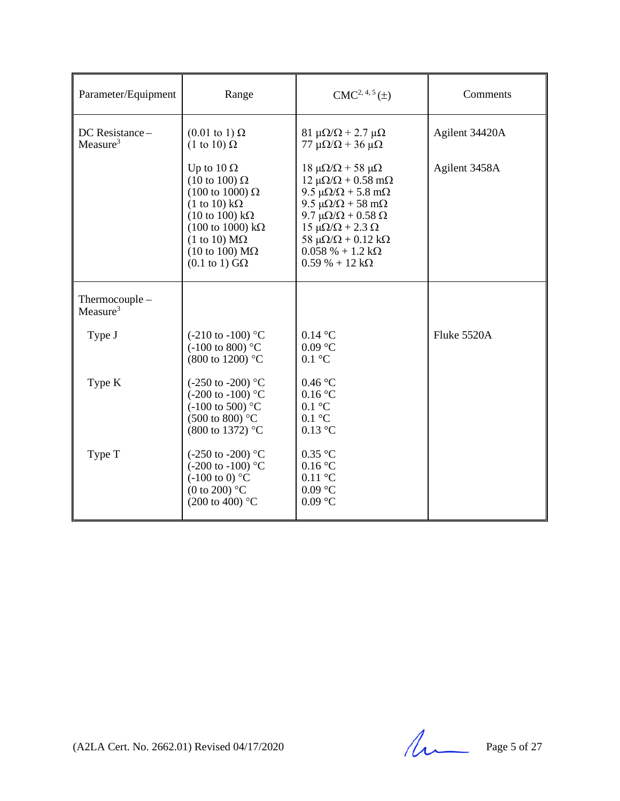| Parameter/Equipment                    | Range                                                                                                                                                                                                                                                                                                                        | $CMC2, 4, 5(\pm)$                                                                                                                                                                                                                                                                                                                                       | Comments       |
|----------------------------------------|------------------------------------------------------------------------------------------------------------------------------------------------------------------------------------------------------------------------------------------------------------------------------------------------------------------------------|---------------------------------------------------------------------------------------------------------------------------------------------------------------------------------------------------------------------------------------------------------------------------------------------------------------------------------------------------------|----------------|
| DC Resistance-<br>Measure <sup>3</sup> | $(0.01 \text{ to } 1) \Omega$<br>$(1 \text{ to } 10) \Omega$                                                                                                                                                                                                                                                                 | $81 \mu\Omega/\Omega$ + 2.7 μΩ<br>77 μ $\Omega/\Omega$ + 36 μ $\Omega$                                                                                                                                                                                                                                                                                  | Agilent 34420A |
|                                        | Up to $10 \Omega$<br>$(10 \text{ to } 100) \Omega$<br>$(100 \text{ to } 1000) \Omega$<br>$(1 \text{ to } 10) \text{ k}\Omega$<br>$(10 \text{ to } 100) \text{ k}\Omega$<br>$(100 \text{ to } 1000) \text{ kΩ}$<br>$(1 \text{ to } 10) \text{ M}\Omega$<br>$(10 \text{ to } 100) \text{ M}\Omega$<br>$(0.1 \text{ to } 1)$ GQ | 18 μ $\Omega/\Omega$ + 58 μ $\Omega$<br>$12 \mu\Omega/\Omega + 0.58 \text{ m}\Omega$<br>$9.5 \mu\Omega/\Omega + 5.8 \text{ m}\Omega$<br>$9.5 \mu\Omega/\Omega + 58 \text{ m}\Omega$<br>9.7 μ $\Omega/\Omega$ + 0.58 $\Omega$<br>$15 \mu\Omega/\Omega + 2.3 \Omega$<br>58 μ $\Omega/\Omega$ + 0.12 kΩ<br>$0.058\% + 1.2 k\Omega$<br>$0.59% + 12 k\Omega$ | Agilent 3458A  |
| Thermocouple -<br>Measure <sup>3</sup> |                                                                                                                                                                                                                                                                                                                              |                                                                                                                                                                                                                                                                                                                                                         |                |
| Type J                                 | $(-210 \text{ to } -100)$ °C<br>$(-100 \text{ to } 800)$ °C<br>(800 to 1200) °C                                                                                                                                                                                                                                              | $0.14\text{ °C}$<br>$0.09\ ^{\circ}\textrm{C}$<br>$0.1 \text{ }^{\circ}C$                                                                                                                                                                                                                                                                               | Fluke 5520A    |
| Type K                                 | $(-250 \text{ to } -200)$ °C<br>$(-200 \text{ to } -100)$ °C<br>$(-100 \text{ to } 500)$ °C<br>$(500 \text{ to } 800)$ °C<br>(800 to 1372) °C                                                                                                                                                                                | 0.46 °C<br>0.16 °C<br>$0.1 \text{ }^{\circ}C$<br>$0.1 \text{ }^{\circ}C$<br>$0.13$ °C                                                                                                                                                                                                                                                                   |                |
| Type T                                 | $(-250 \text{ to } -200)$ °C<br>$(-200 \text{ to } -100)$ °C<br>$(-100 \text{ to } 0)$ °C<br>(0 to 200) $\mathrm{^{\circ}C}$<br>$(200 \text{ to } 400)$ °C                                                                                                                                                                   | $0.35$ °C<br>0.16 °C<br>$0.11\text{ °C}$<br>$0.09$ °C<br>$0.09$ °C                                                                                                                                                                                                                                                                                      |                |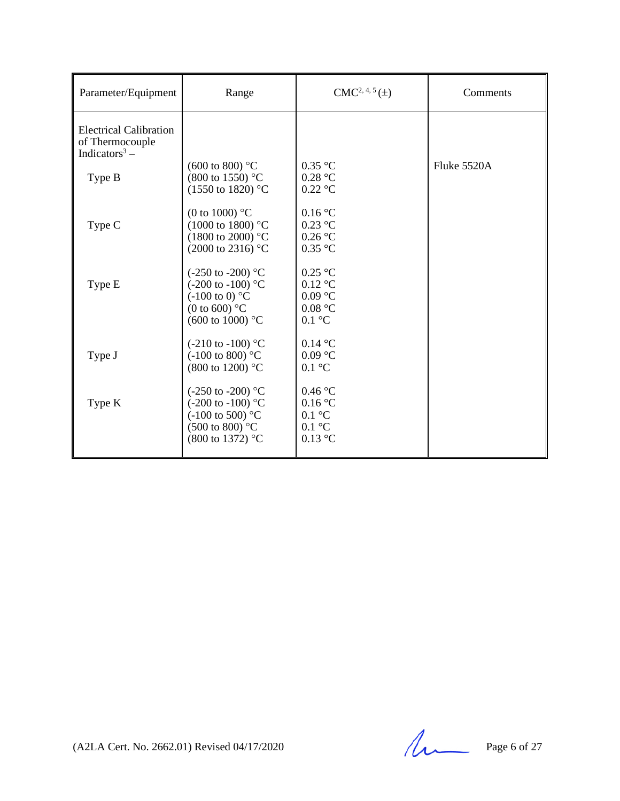| Parameter/Equipment                                                           | Range                                                                                                                                               | $CMC2, 4, 5(\pm)$                                                                              | Comments      |
|-------------------------------------------------------------------------------|-----------------------------------------------------------------------------------------------------------------------------------------------------|------------------------------------------------------------------------------------------------|---------------|
| <b>Electrical Calibration</b><br>of Thermocouple<br>Indicators <sup>3</sup> – | $(600 \text{ to } 800)$ °C                                                                                                                          | $0.35$ °C                                                                                      | Fluke $5520A$ |
| Type B                                                                        | $(800 \text{ to } 1550)$ °C<br>(1550 to 1820) °C                                                                                                    | $0.28$ °C<br>$0.22$ °C                                                                         |               |
| Type C                                                                        | (0 to 1000) $^{\circ}$ C<br>$(1000 \text{ to } 1800)$ °C<br>$(1800 \text{ to } 2000)$ °C<br>(2000 to 2316) °C                                       | 0.16 °C<br>$0.23$ °C<br>0.26 °C<br>$0.35$ °C                                                   |               |
| Type E                                                                        | $(-250 \text{ to } -200)$ °C<br>$(-200 \text{ to } -100)$ °C<br>$(-100 \text{ to } 0)$ °C<br>(0 to 600) $^{\circ}$ C<br>$(600 \text{ to } 1000)$ °C | $0.25$ °C<br>$0.12$ °C<br>$0.09$ °C<br>0.08 °C<br>$0.1 \text{ }^{\circ}C$                      |               |
| Type J                                                                        | $(-210 \text{ to } -100)$ °C<br>$(-100 \text{ to } 800)$ °C<br>(800 to 1200) °C                                                                     | $0.14\text{ °C}$<br>$0.09$ °C<br>$0.1 \text{ }^{\circ}C$                                       |               |
| Type K                                                                        | $(-250 \text{ to } -200)$ °C<br>$(-200 \text{ to } -100)$ °C<br>$(-100 \text{ to } 500)$ °C<br>$(500 \text{ to } 800)$ °C<br>(800 to 1372) °C       | $0.46\text{ °C}$<br>0.16 °C<br>$0.1 \text{ }^{\circ}C$<br>$0.1 \text{ }^{\circ}C$<br>$0.13$ °C |               |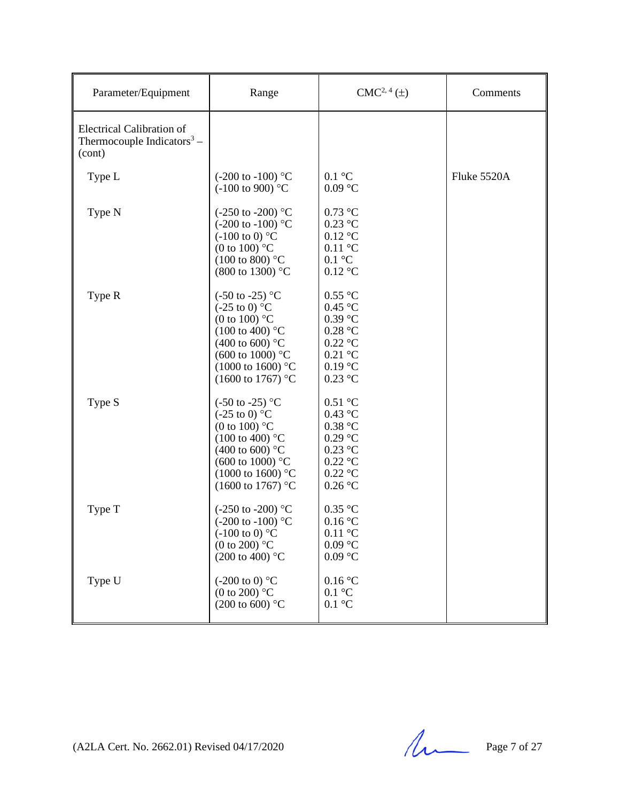| Parameter/Equipment                                                           | Range                                                                                                                                                                                                                                                | $CMC2, 4(\pm)$                                                                                                                                            | Comments    |
|-------------------------------------------------------------------------------|------------------------------------------------------------------------------------------------------------------------------------------------------------------------------------------------------------------------------------------------------|-----------------------------------------------------------------------------------------------------------------------------------------------------------|-------------|
| Electrical Calibration of<br>Thermocouple Indicators <sup>3</sup> –<br>(cont) |                                                                                                                                                                                                                                                      |                                                                                                                                                           |             |
| Type L                                                                        | $(-200 \text{ to } -100)$ °C<br>$(-100 \text{ to } 900)$ °C                                                                                                                                                                                          | $0.1 \text{ }^{\circ}C$<br>$0.09\ ^{\circ}\textrm{C}$                                                                                                     | Fluke 5520A |
| Type N                                                                        | $(-250 \text{ to } -200)$ °C<br>$(-200 \text{ to } -100)$ °C<br>$(-100 \text{ to } 0)$ °C<br>(0 to 100) $\mathrm{^{\circ}C}$<br>$(100 \text{ to } 800)$ °C<br>(800 to 1300) °C                                                                       | $0.73~^\circ\mathrm{C}$<br>$0.23\ ^{\circ}\textrm{C}$<br>$0.12$ °C<br>$0.11\ ^{\circ}\textrm{C}$<br>$0.1 \text{ }^{\circ}C$<br>$0.12\ ^{\circ}\textrm{C}$ |             |
| Type R                                                                        | $(-50 \text{ to } -25)$ °C<br>$(-25 \text{ to } 0)$ °C<br>(0 to 100) $^{\circ}$ C<br>$(100 \text{ to } 400)$ °C<br>$(400 \text{ to } 600)$ °C<br>$(600 \text{ to } 1000)$ °C<br>$(1000 \text{ to } 1600)$ °C<br>$(1600 \text{ to } 1767)$ °C         | $0.55$ °C<br>0.45 °C<br>$0.39$ °C<br>0.28 °C<br>$0.22$ °C<br>$0.21$ °C<br>0.19 °C<br>$0.23$ °C                                                            |             |
| Type S                                                                        | $(-50 \text{ to } -25)$ °C<br>$(-25 \text{ to } 0)$ °C<br>(0 to 100) $\mathrm{^{\circ}C}$<br>$(100 \text{ to } 400)$ °C<br>$(400 \text{ to } 600)$ °C<br>$(600 \text{ to } 1000)$ °C<br>$(1000 \text{ to } 1600)$ °C<br>$(1600 \text{ to } 1767)$ °C | $0.51\ ^{\circ}\textrm{C}$<br>$0.43$ °C<br>0.38 °C<br>0.29 °C<br>$0.23$ °C<br>$0.22$ °C<br>$0.22$ °C<br>0.26 °C                                           |             |
| Type T                                                                        | $(-250 \text{ to } -200)$ °C<br>$(-200 \text{ to } -100)$ °C<br>$(-100 \text{ to } 0)$ °C<br>(0 to 200) $^{\circ}$ C<br>$(200 \text{ to } 400)$ °C                                                                                                   | $0.35\ ^{\circ}\textrm{C}$<br>0.16 °C<br>$0.11\text{ °C}$<br>0.09 °C<br>$0.09$ °C                                                                         |             |
| Type U                                                                        | $(-200 \text{ to } 0)$ °C<br>(0 to 200) $\mathrm{^{\circ}C}$<br>$(200 \text{ to } 600)$ °C                                                                                                                                                           | 0.16 °C<br>$0.1 \text{ }^{\circ}C$<br>$0.1 \text{ }^{\circ}C$                                                                                             |             |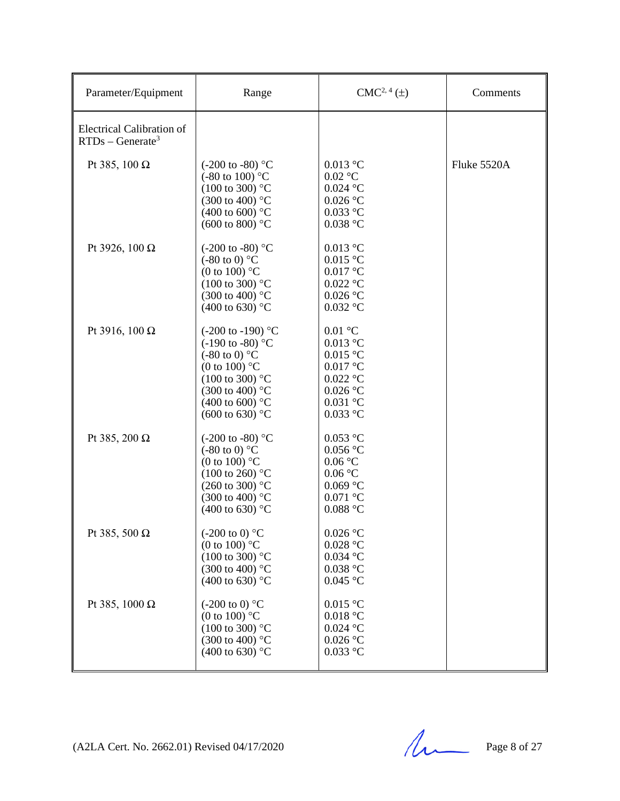| Parameter/Equipment                                    | Range                                                                                                                                                                                                                                      | $CMC2, 4(\pm)$                                                                                                                                                 | Comments    |
|--------------------------------------------------------|--------------------------------------------------------------------------------------------------------------------------------------------------------------------------------------------------------------------------------------------|----------------------------------------------------------------------------------------------------------------------------------------------------------------|-------------|
| <b>Electrical Calibration of</b><br>$RTDs - Generate3$ |                                                                                                                                                                                                                                            |                                                                                                                                                                |             |
| Pt 385, 100 $\Omega$                                   | $(-200 \text{ to } -80)$ °C<br>$(-80 \text{ to } 100)$ °C<br>$(100 \text{ to } 300)$ °C<br>$(300 \text{ to } 400)$ °C<br>$(400 \text{ to } 600)$ °C<br>$(600 \text{ to } 800)$ °C                                                          | $0.013$ °C<br>$0.02$ °C<br>$0.024$ °C<br>$0.026$ °C<br>$0.033$ °C<br>$0.038\ ^{\circ}\textrm{C}$                                                               | Fluke 5520A |
| Pt 3926, 100 $\Omega$                                  | $(-200 \text{ to } -80)$ °C<br>$(-80 \text{ to } 0)$ °C<br>(0 to 100) $\degree$ C<br>$(100 \text{ to } 300)$ °C<br>$(300 \text{ to } 400)$ °C<br>$(400 \text{ to } 630)$ °C                                                                | $0.013$ °C<br>$0.015\ ^{\circ}\textrm{C}$<br>$0.017$ $^{\circ}$ C<br>$0.022\ ^{\circ}\textrm{C}$<br>$0.026\ ^{\circ}\textrm{C}$<br>$0.032$ °C                  |             |
| Pt 3916, 100 $\Omega$                                  | $(-200 \text{ to } -190)$ °C<br>$(-190 \text{ to } -80)$ °C<br>$(-80 \text{ to } 0)$ °C<br>(0 to 100) $^{\circ}$ C<br>$(100 \text{ to } 300)$ °C<br>$(300 \text{ to } 400)$ °C<br>$(400 \text{ to } 600)$ °C<br>$(600 \text{ to } 630)$ °C | $0.01\ ^{\circ}\textrm{C}$<br>$0.013$ °C<br>$0.015$ °C<br>$0.017$ °C<br>$0.022$ °C<br>$0.026\ ^{\circ}\textrm{C}$<br>$0.031\ ^{\circ}\textrm{C}$<br>$0.033$ °C |             |
| Pt 385, 200 $\Omega$                                   | $(-200 \text{ to } -80)$ °C<br>$(-80 \text{ to } 0)$ °C<br>(0 to 100) $^{\circ}$ C<br>$(100 \text{ to } 260)$ °C<br>$(260 \text{ to } 300)$ °C<br>$(300 \text{ to } 400)$ °C<br>$(400 \text{ to } 630)$ °C                                 | $0.053\ ^{\circ}\textrm{C}$<br>$0.056$ °C<br>0.06 °C<br>0.06 °C<br>$0.069$ °C<br>$0.071$ °C<br>$0.088$ °C                                                      |             |
| Pt 385, 500 $\Omega$                                   | $(-200 \text{ to } 0)$ °C<br>(0 to 100) $^{\circ}$ C<br>$(100 \text{ to } 300)$ °C<br>$(300 \text{ to } 400)$ °C<br>$(400 \text{ to } 630)$ °C                                                                                             | $0.026$ °C<br>$0.028$ °C<br>$0.034$ °C<br>$0.038$ °C<br>$0.045$ °C                                                                                             |             |
| Pt 385, 1000 $\Omega$                                  | $(-200 \text{ to } 0)$ °C<br>(0 to 100) $\degree$ C<br>$(100 \text{ to } 300)$ °C<br>$(300 \text{ to } 400)$ °C<br>$(400 \text{ to } 630)$ °C                                                                                              | $0.015$ °C<br>$0.018\ ^{\circ}\textrm{C}$<br>$0.024$ °C<br>$0.026\ ^{\circ}\textrm{C}$<br>$0.033$ °C                                                           |             |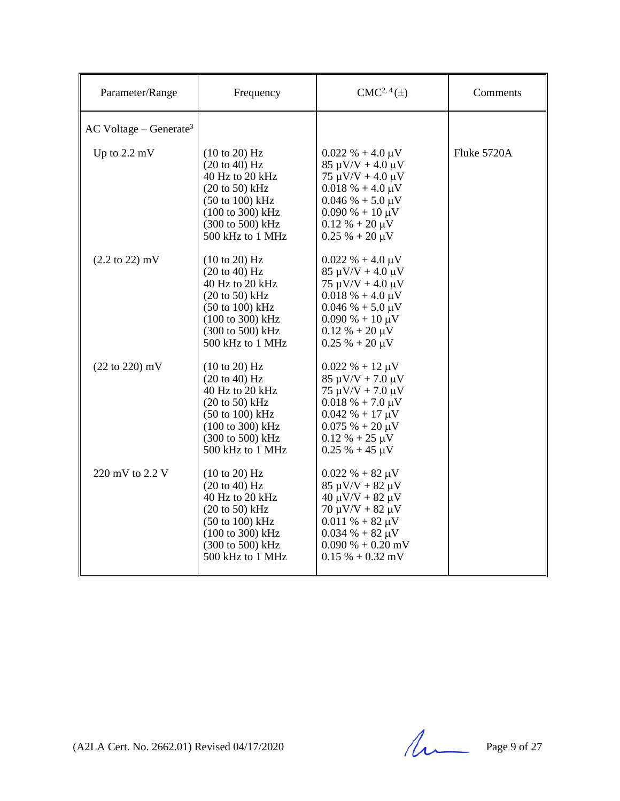| Parameter/Range                      | Frequency                                                                                                                                                                                                      | $CMC2, 4(\pm)$                                                                                                                                                                                                                  | Comments    |
|--------------------------------------|----------------------------------------------------------------------------------------------------------------------------------------------------------------------------------------------------------------|---------------------------------------------------------------------------------------------------------------------------------------------------------------------------------------------------------------------------------|-------------|
| $AC$ Voltage – Generate <sup>3</sup> |                                                                                                                                                                                                                |                                                                                                                                                                                                                                 |             |
| Up to $2.2 \text{ mV}$               | (10 to 20) Hz<br>$(20 \text{ to } 40)$ Hz<br>40 Hz to 20 kHz<br>$(20 \text{ to } 50)$ kHz<br>$(50 \text{ to } 100) \text{ kHz}$<br>$(100 \text{ to } 300) \text{ kHz}$<br>(300 to 500) kHz<br>500 kHz to 1 MHz | $0.022 \% + 4.0 \mu V$<br>$85 \mu V/V + 4.0 \mu V$<br>$75 \mu V/V + 4.0 \mu V$<br>$0.018\% + 4.0 \,\mu\text{V}$<br>$0.046\% + 5.0 \,\mu\text{V}$<br>$0.090\% + 10 \,\mu\text{V}$<br>$0.12 \% + 20 \mu V$<br>$0.25 % + 20 \mu V$ | Fluke 5720A |
| $(2.2 \text{ to } 22) \text{ mV}$    | (10 to 20) Hz<br>(20 to 40) Hz<br>40 Hz to 20 kHz<br>$(20 \text{ to } 50)$ kHz<br>$(50 \text{ to } 100) \text{ kHz}$<br>$(100 \text{ to } 300) \text{ kHz}$<br>(300 to 500) kHz<br>500 kHz to 1 MHz            | $0.022 \% + 4.0 \mu V$<br>$85 \mu V/V + 4.0 \mu V$<br>$75 \mu V/V + 4.0 \mu V$<br>$0.018\% + 4.0 \,\mu\text{V}$<br>$0.046\% + 5.0 \,\mu\text{V}$<br>$0.090\% + 10 \,\mu\text{V}$<br>$0.12 \% + 20 \mu V$<br>$0.25 % + 20 \mu V$ |             |
| $(22 to 220)$ mV                     | (10 to 20) Hz<br>$(20 \text{ to } 40)$ Hz<br>40 Hz to 20 kHz<br>$(20 \text{ to } 50)$ kHz<br>$(50 \text{ to } 100) \text{ kHz}$<br>$(100 \text{ to } 300) \text{ kHz}$<br>(300 to 500) kHz<br>500 kHz to 1 MHz | $0.022 \% + 12 \mu V$<br>$85 \mu V/V + 7.0 \mu V$<br>$75 \mu V/V + 7.0 \mu V$<br>$0.018 \% + 7.0 \mu V$<br>$0.042 % + 17 \mu V$<br>$0.075% + 20 \mu V$<br>$0.12 % + 25 \mu V$<br>$0.25 % + 45 \mu V$                            |             |
| 220 mV to 2.2 V                      | (10 to 20) Hz<br>$(20 \text{ to } 40)$ Hz<br>40 Hz to 20 kHz<br>$(20 \text{ to } 50)$ kHz<br>$(50 \text{ to } 100) \text{ kHz}$<br>$(100 \text{ to } 300) \text{ kHz}$<br>(300 to 500) kHz<br>500 kHz to 1 MHz | $0.022 \% + 82 \mu V$<br>$85 \mu V/V + 82 \mu V$<br>$40 \mu V/V + 82 \mu V$<br>$70 \mu V/V + 82 \mu V$<br>$0.011 \% + 82 \mu V$<br>$0.034 \% + 82 \mu V$<br>$0.090\% + 0.20$ mV<br>$0.15\% + 0.32$ mV                           |             |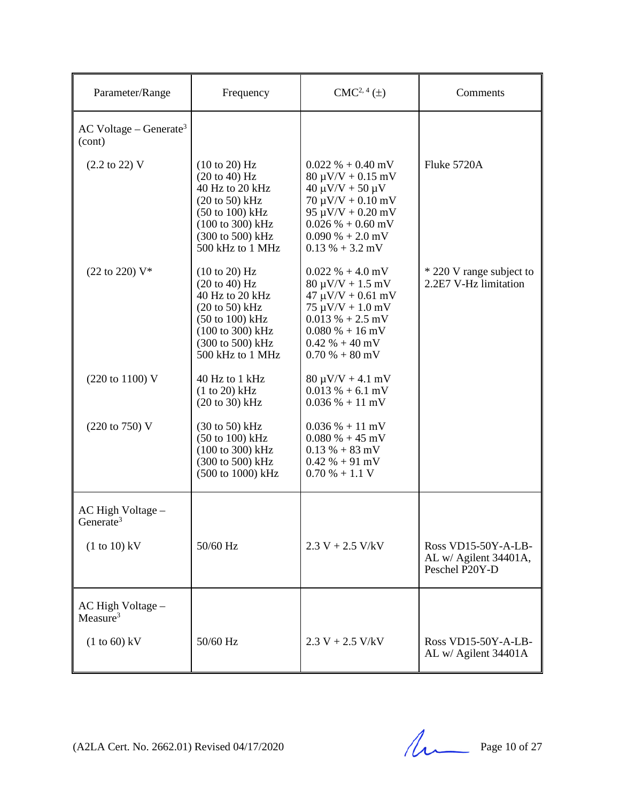| Parameter/Range                                | Frequency                                                                                                                                                                                   | $CMC2, 4(\pm)$                                                                                                                                                                                                                    | Comments                                                       |
|------------------------------------------------|---------------------------------------------------------------------------------------------------------------------------------------------------------------------------------------------|-----------------------------------------------------------------------------------------------------------------------------------------------------------------------------------------------------------------------------------|----------------------------------------------------------------|
| $AC$ Voltage – Generate <sup>3</sup><br>(cont) |                                                                                                                                                                                             |                                                                                                                                                                                                                                   |                                                                |
| $(2.2 \text{ to } 22) \text{ V}$               | (10 to 20) Hz<br>$(20 \text{ to } 40)$ Hz<br>40 Hz to 20 kHz<br>$(20 \text{ to } 50)$ kHz<br>$(50 \text{ to } 100) \text{ kHz}$<br>(100 to 300) kHz<br>(300 to 500) kHz<br>500 kHz to 1 MHz | $0.022 \% + 0.40$ mV<br>$80 \mu V/V + 0.15 \ mV$<br>$40 \mu V/V + 50 \mu V$<br>$70 \mu V/V + 0.10 \text{ mV}$<br>$95 \mu V/V + 0.20 \text{ mV}$<br>$0.026 % + 0.60 mV$<br>$0.090\% + 2.0\,\text{mV}$<br>$0.13\% + 3.2\,\text{mV}$ | Fluke 5720A                                                    |
| $(22 \text{ to } 220)$ V*                      | $(10 \text{ to } 20)$ Hz<br>(20 to 40) Hz<br>40 Hz to 20 kHz<br>$(20 to 50)$ kHz<br>$(50 \text{ to } 100) \text{ kHz}$<br>(100 to 300) kHz<br>(300 to 500) kHz<br>500 kHz to 1 MHz          | $0.022 \% + 4.0 mV$<br>$80 \mu V/V + 1.5 \ mV$<br>$47 \mu V/V + 0.61 \ mV$<br>$75 \mu V/V + 1.0 \ mV$<br>$0.013\% + 2.5$ mV<br>$0.080\% + 16 \text{ mV}$<br>$0.42\% + 40\,\text{mV}$<br>$0.70\% + 80\,\mathrm{mV}$                | * 220 V range subject to<br>2.2E7 V-Hz limitation              |
| (220 to 1100) V                                | 40 Hz to 1 kHz<br>$(1 to 20)$ kHz<br>$(20 to 30)$ kHz                                                                                                                                       | $80 \mu V/V + 4.1 \ mV$<br>$0.013\% + 6.1$ mV<br>$0.036\% + 11\ mV$                                                                                                                                                               |                                                                |
| (220 to 750) V                                 | $(30 \text{ to } 50)$ kHz<br>$(50 \text{ to } 100) \text{ kHz}$<br>(100 to 300) kHz<br>(300 to 500) kHz<br>(500 to 1000) kHz                                                                | $0.036\% + 11\ mV$<br>$0.080\% + 45$ mV<br>$0.13\% + 83\,\mathrm{mV}$<br>$0.42\% + 91\,\text{mV}$<br>$0.70\% + 1.1$ V                                                                                                             |                                                                |
| AC High Voltage -<br>Generate <sup>3</sup>     |                                                                                                                                                                                             |                                                                                                                                                                                                                                   |                                                                |
| $(1 to 10)$ kV                                 | 50/60 Hz                                                                                                                                                                                    | $2.3 V + 2.5 V/kV$                                                                                                                                                                                                                | Ross VD15-50Y-A-LB-<br>AL w/ Agilent 34401A,<br>Peschel P20Y-D |
| AC High Voltage -<br>Measure $3$               |                                                                                                                                                                                             |                                                                                                                                                                                                                                   |                                                                |
| $(1 to 60)$ kV                                 | 50/60 Hz                                                                                                                                                                                    | $2.3 V + 2.5 V/kV$                                                                                                                                                                                                                | Ross VD15-50Y-A-LB-<br>AL w/ Agilent 34401A                    |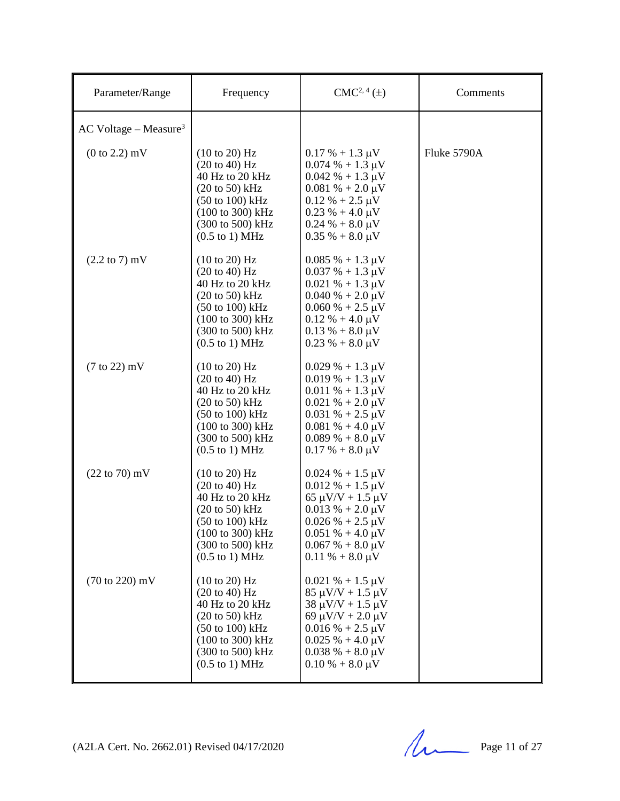| Parameter/Range                     | Frequency                                                                                                                                                                                                               | $CMC2, 4(\pm)$                                                                                                                                                                                                                    | Comments    |
|-------------------------------------|-------------------------------------------------------------------------------------------------------------------------------------------------------------------------------------------------------------------------|-----------------------------------------------------------------------------------------------------------------------------------------------------------------------------------------------------------------------------------|-------------|
| $AC$ Voltage – Measure <sup>3</sup> |                                                                                                                                                                                                                         |                                                                                                                                                                                                                                   |             |
| $(0 to 2.2)$ mV                     | $(10 \text{ to } 20)$ Hz<br>$(20 \text{ to } 40)$ Hz<br>40 Hz to 20 kHz<br>$(20 \text{ to } 50)$ kHz<br>$(50 \text{ to } 100) \text{ kHz}$<br>(100 to 300) kHz<br>(300 to 500) kHz<br>$(0.5 \text{ to } 1) \text{ MHz}$ | $0.17 % + 1.3 \mu V$<br>$0.074\% + 1.3 \mu V$<br>$0.042 \% + 1.3 \mu V$<br>$0.081\% + 2.0 \,\mu\text{V}$<br>$0.12 \% + 2.5 \mu V$<br>$0.23 \% + 4.0 \mu V$<br>$0.24\% + 8.0\,\mu\text{V}$<br>$0.35\% + 8.0\,\mu\text{V}$          | Fluke 5790A |
| $(2.2 \text{ to } 7) \text{ mV}$    | (10 to 20) Hz<br>(20 to 40) Hz<br>40 Hz to 20 kHz<br>$(20 \text{ to } 50)$ kHz<br>$(50 \text{ to } 100) \text{ kHz}$<br>(100 to 300) kHz<br>(300 to 500) kHz<br>$(0.5 \text{ to } 1) \text{ MHz}$                       | $0.085\% + 1.3 \,\mu\text{V}$<br>$0.037 \% + 1.3 \mu V$<br>$0.021 \% + 1.3 \mu V$<br>$0.040\% + 2.0\,\mu\text{V}$<br>$0.060\% + 2.5\,\mu\text{V}$<br>$0.12 \% + 4.0 \mu V$<br>$0.13 \% + 8.0 \mu V$<br>$0.23 \% + 8.0 \mu V$      |             |
| $(7 \text{ to } 22)$ mV             | (10 to 20) Hz<br>$(20 \text{ to } 40)$ Hz<br>40 Hz to 20 kHz<br>$(20 \text{ to } 50) \text{ kHz}$<br>$(50 \text{ to } 100) \text{ kHz}$<br>(100 to 300) kHz<br>(300 to 500) kHz<br>$(0.5 \text{ to } 1) \text{ MHz}$    | $0.029% + 1.3 \mu V$<br>$0.019\% + 1.3 \mu V$<br>$0.011\% + 1.3 \mu V$<br>$0.021 \% + 2.0 \mu V$<br>$0.031 \% + 2.5 \mu V$<br>$0.081\% + 4.0 \,\mu\text{V}$<br>$0.089\% + 8.0 \,\mu\text{V}$<br>$0.17 % + 8.0 \mu V$              |             |
| $(22 \text{ to } 70) \text{ mV}$    | (10 to 20) Hz<br>(20 to 40) Hz<br>40 Hz to 20 kHz<br>$(20 \text{ to } 50)$ kHz<br>$(50 \text{ to } 100) \text{ kHz}$<br>$(100 \text{ to } 300) \text{ kHz}$<br>(300 to 500) kHz<br>$(0.5$ to 1) MHz                     | $0.024 \% + 1.5 \mu V$<br>$0.012 \% + 1.5 \mu V$<br>$65 \mu V/V + 1.5 \mu V$<br>$0.013\% + 2.0 \,\mu\text{V}$<br>$0.026 % + 2.5 \mu V$<br>$0.051\% + 4.0 \,\mu\text{V}$<br>$0.067\% + 8.0 \,\mu\text{V}$<br>$0.11 \% + 8.0 \mu V$ |             |
| $(70 \text{ to } 220) \text{ mV}$   | $(10 \text{ to } 20)$ Hz<br>(20 to 40) Hz<br>40 Hz to 20 kHz<br>$(20 \text{ to } 50)$ kHz<br>$(50 \text{ to } 100) \text{ kHz}$<br>(100 to 300) kHz<br>(300 to 500) kHz<br>$(0.5 \text{ to } 1) \text{ MHz}$            | $0.021 \% + 1.5 \mu V$<br>$85 \mu V/V + 1.5 \mu V$<br>$38 \mu V/V + 1.5 \mu V$<br>69 $\mu$ V/V + 2.0 $\mu$ V<br>$0.016\% + 2.5 \,\mu\text{V}$<br>$0.025 \% + 4.0 \mu V$<br>$0.038 \% + 8.0 \mu V$<br>$0.10\% + 8.0\,\mu\text{V}$  |             |

(A2LA Cert. No. 2662.01) Revised 04/17/2020 Page 11 of 27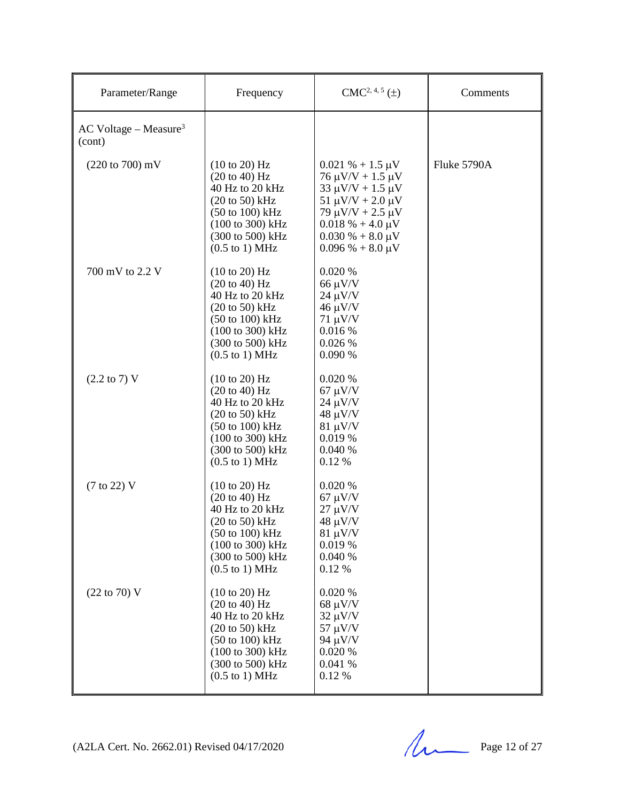| Parameter/Range                               | Frequency                                                                                                                                                                                                                               | $CMC2, 4, 5(\pm)$                                                                                                                                                                                                                          | Comments    |
|-----------------------------------------------|-----------------------------------------------------------------------------------------------------------------------------------------------------------------------------------------------------------------------------------------|--------------------------------------------------------------------------------------------------------------------------------------------------------------------------------------------------------------------------------------------|-------------|
| $AC$ Voltage – Measure <sup>3</sup><br>(cont) |                                                                                                                                                                                                                                         |                                                                                                                                                                                                                                            |             |
| $(220 \text{ to } 700) \text{ mV}$            | $(10 \text{ to } 20)$ Hz<br>$(20 \text{ to } 40)$ Hz<br>40 Hz to 20 kHz<br>$(20 \text{ to } 50)$ kHz<br>(50 to 100) kHz<br>(100 to 300) kHz<br>(300 to 500) kHz<br>$(0.5 \text{ to } 1) \text{ MHz}$                                    | $0.021 \% + 1.5 \mu V$<br>$76 \mu V/V + 1.5 \mu V$<br>$33 \mu V/V + 1.5 \mu V$<br>$51 \mu V/V + 2.0 \mu V$<br>79 $\mu$ V/V + 2.5 $\mu$ V<br>$0.018\% + 4.0 \,\mu\text{V}$<br>$0.030\% + 8.0\,\mu\text{V}$<br>$0.096\% + 8.0 \,\mu\text{V}$ | Fluke 5790A |
| 700 mV to 2.2 V                               | $(10 \text{ to } 20)$ Hz<br>(20 to 40) Hz<br>40 Hz to 20 kHz<br>$(20 to 50)$ kHz<br>$(50 \text{ to } 100) \text{ kHz}$<br>(100 to 300) kHz<br>(300 to 500) kHz<br>$(0.5 \text{ to } 1) \text{ MHz}$                                     | 0.020 %<br>$66 \mu V/V$<br>$24 \mu V/V$<br>$46 \mu V/V$<br>$71 \mu V/V$<br>0.016 %<br>0.026%<br>0.090 %                                                                                                                                    |             |
| $(2.2 \text{ to } 7) \text{ V}$               | (10 to 20) Hz<br>(20 to 40) Hz<br>40 Hz to 20 kHz<br>$(20 \text{ to } 50)$ kHz<br>$(50 \text{ to } 100) \text{ kHz}$<br>$(100 \text{ to } 300) \text{ kHz}$<br>$(300 \text{ to } 500) \text{ kHz}$<br>$(0.5 \text{ to } 1) \text{ MHz}$ | 0.020%<br>$67 \mu V/V$<br>$24 \mu V/V$<br>$48 \mu V/V$<br>$81 \mu V/V$<br>0.019 %<br>0.040%<br>0.12 %                                                                                                                                      |             |
| $(7 \text{ to } 22)$ V                        | (10 to 20) Hz<br>(20 to 40) Hz<br>40 Hz to 20 kHz<br>$(20 \text{ to } 50)$ kHz<br>(50 to 100) kHz<br>(100 to 300) kHz<br>(300 to 500) kHz<br>$(0.5 \text{ to } 1) \text{ MHz}$                                                          | 0.020%<br>$67 \mu V/V$<br>$27 \mu V/V$<br>$48 \mu V/V$<br>$81 \mu V/V$<br>0.019 %<br>0.040 %<br>0.12 %                                                                                                                                     |             |
| $(22 \text{ to } 70)$ V                       | (10 to 20) Hz<br>(20 to 40) Hz<br>40 Hz to 20 kHz<br>$(20 \text{ to } 50)$ kHz<br>$(50 \text{ to } 100) \text{ kHz}$<br>$(100 \text{ to } 300) \text{ kHz}$<br>(300 to 500) kHz<br>$(0.5 \text{ to } 1) \text{ MHz}$                    | 0.020 %<br>$68 \mu V/V$<br>$32 \mu V/V$<br>$57 \mu V/V$<br>$94 \mu V/V$<br>0.020%<br>0.041 %<br>0.12 %                                                                                                                                     |             |

(A2LA Cert. No. 2662.01) Revised 04/17/2020 Page 12 of 27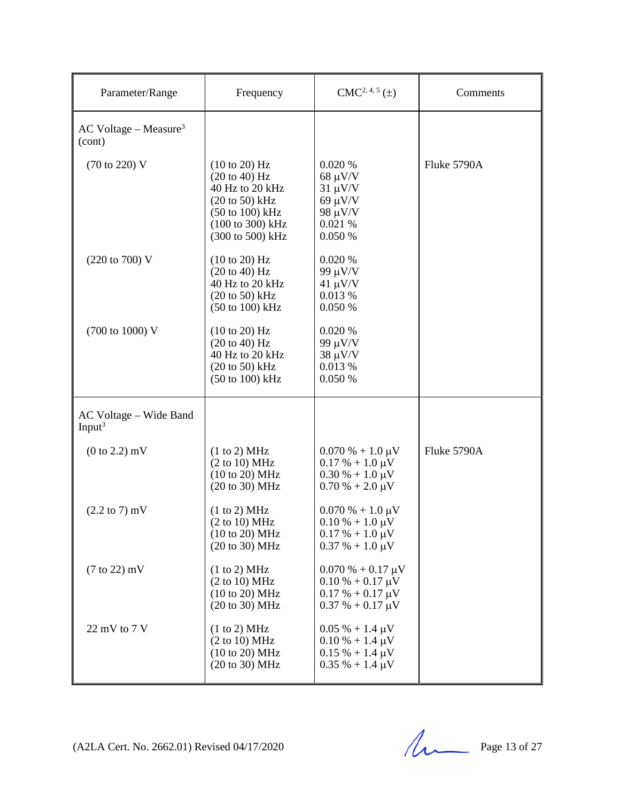| Parameter/Range                               | Frequency                                                                                                                                                                          | $CMC2, 4, 5(\pm)$                                                                                                   | Comments    |
|-----------------------------------------------|------------------------------------------------------------------------------------------------------------------------------------------------------------------------------------|---------------------------------------------------------------------------------------------------------------------|-------------|
| $AC$ Voltage – Measure <sup>3</sup><br>(cont) |                                                                                                                                                                                    |                                                                                                                     |             |
| (70 to 220) V                                 | $(10 \text{ to } 20)$ Hz<br>$(20 \text{ to } 40)$ Hz<br>40 Hz to 20 kHz<br>$(20 \text{ to } 50)$ kHz<br>$(50 \text{ to } 100) \text{ kHz}$<br>(100 to 300) kHz<br>(300 to 500) kHz | 0.020%<br>$68 \mu V/V$<br>$31 \mu V/V$<br>$69 \mu V/V$<br>98 μV/V<br>0.021 %<br>0.050 %                             | Fluke 5790A |
| (220 to 700) V                                | (10 to 20) Hz<br>$(20 \text{ to } 40)$ Hz<br>40 Hz to 20 kHz<br>$(20 \text{ to } 50)$ kHz<br>$(50 \text{ to } 100) \text{ kHz}$                                                    | 0.020 %<br>99 μV/V<br>$41 \mu V/V$<br>0.013 %<br>0.050 %                                                            |             |
| (700 to 1000) V                               | (10 to 20) Hz<br>(20 to 40) Hz<br>40 Hz to 20 kHz<br>$(20 \text{ to } 50)$ kHz<br>$(50 \text{ to } 100) \text{ kHz}$                                                               | 0.020 %<br>99 μV/V<br>$38 \mu V/V$<br>0.013 %<br>0.050 %                                                            |             |
| AC Voltage – Wide Band<br>Input <sup>3</sup>  |                                                                                                                                                                                    |                                                                                                                     |             |
| $(0 to 2.2)$ mV                               | (1 to 2) MHz<br>(2 to 10) MHz<br>(10 to 20) MHz<br>(20 to 30) MHz                                                                                                                  | $0.070\% + 1.0 \,\mu\text{V}$<br>$0.17 % + 1.0 \mu V$<br>$0.30\% + 1.0\,\mu\text{V}$<br>$0.70\% + 2.0\,\mu\text{V}$ | Fluke 5790A |
| $(2.2 \text{ to } 7) \text{ mV}$              | (1 to 2) MHz<br>(2 to 10) MHz<br>(10 to 20) MHz<br>(20 to 30) MHz                                                                                                                  | $0.070\% + 1.0 \,\mu\text{V}$<br>$0.10\% + 1.0\,\mu\text{V}$<br>$0.17 % + 1.0 \mu V$<br>$0.37 \% + 1.0 \mu V$       |             |
| $(7 \text{ to } 22)$ mV                       | (1 to 2) MHz<br>(2 to 10) MHz<br>(10 to 20) MHz<br>(20 to 30) MHz                                                                                                                  | $0.070 % + 0.17 \mu V$<br>$0.10 % + 0.17 \mu V$<br>$0.17 % + 0.17 \mu V$<br>$0.37 % + 0.17 \mu V$                   |             |
| 22 mV to 7 V                                  | (1 to 2) MHz<br>(2 to 10) MHz<br>(10 to 20) MHz<br>(20 to 30) MHz                                                                                                                  | $0.05\% + 1.4 \mu V$<br>$0.10\% + 1.4 \,\mu\text{V}$<br>$0.15 % + 1.4 \mu V$<br>$0.35 \% + 1.4 \mu V$               |             |

(A2LA Cert. No. 2662.01) Revised 04/17/2020 Page 13 of 27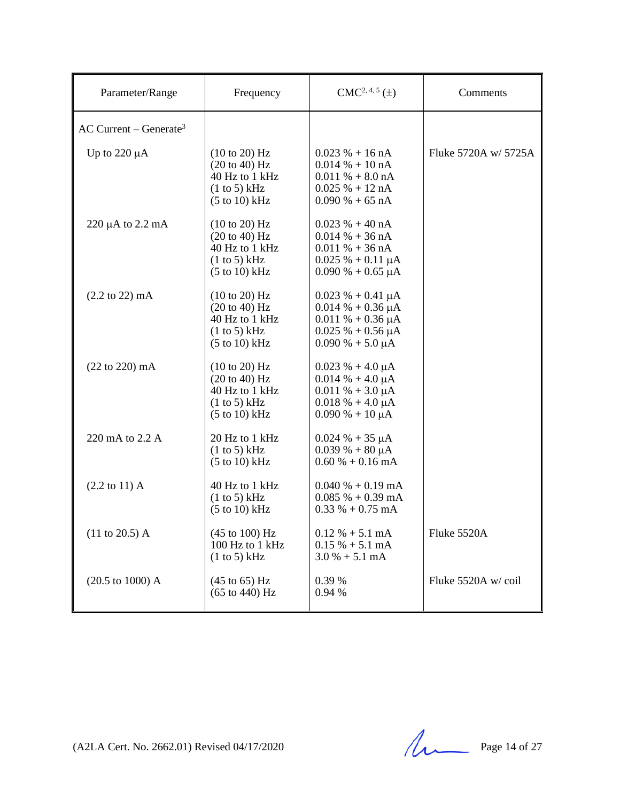| Parameter/Range                      | Frequency                                                                                                                  | $CMC2, 4, 5(\pm)$                                                                                                                | Comments             |
|--------------------------------------|----------------------------------------------------------------------------------------------------------------------------|----------------------------------------------------------------------------------------------------------------------------------|----------------------|
| $AC$ Current – Generate <sup>3</sup> |                                                                                                                            |                                                                                                                                  |                      |
| Up to $220 \mu A$                    | $(10 \text{ to } 20)$ Hz<br>$(20 \text{ to } 40)$ Hz<br>40 Hz to 1 kHz<br>(1 to 5) kHz<br>$(5 \text{ to } 10) \text{ kHz}$ | $0.023 \% + 16 nA$<br>$0.014\% + 10\text{ nA}$<br>$0.011\% + 8.0 \text{ nA}$<br>$0.025% + 12nA$<br>$0.090\% + 65 \text{ nA}$     | Fluke 5720A w/ 5725A |
| 220 $\mu$ A to 2.2 mA                | $(10 \text{ to } 20)$ Hz<br>$(20 \text{ to } 40)$ Hz<br>40 Hz to 1 kHz<br>(1 to 5) kHz<br>$(5 \text{ to } 10) \text{ kHz}$ | $0.023 \% + 40 nA$<br>$0.014\% + 36\text{ nA}$<br>$0.011 \% + 36 nA$<br>$0.025 \% + 0.11 \mu A$<br>$0.090\% + 0.65\,\mu\text{A}$ |                      |
| $(2.2 \text{ to } 22) \text{ mA}$    | $(10 \text{ to } 20)$ Hz<br>(20 to 40) Hz<br>40 Hz to 1 kHz<br>(1 to 5) kHz<br>$(5 to 10)$ kHz                             | $0.023 \% + 0.41 \mu A$<br>$0.014% + 0.36 \mu A$<br>$0.011\% + 0.36 \mu A$<br>$0.025 \% + 0.56 \mu A$<br>$0.090\% + 5.0 \mu A$   |                      |
| $(22 \text{ to } 220) \text{ mA}$    | (10 to 20) Hz<br>$(20 \text{ to } 40)$ Hz<br>40 Hz to 1 kHz<br>(1 to 5) kHz<br>$(5 \text{ to } 10) \text{ kHz}$            | $0.023 \% + 4.0 \mu A$<br>$0.014\% + 4.0 \mu A$<br>$0.011 \% + 3.0 \mu A$<br>$0.018 \% + 4.0 \mu A$<br>$0.090\% + 10 \mu A$      |                      |
| 220 mA to 2.2 A                      | 20 Hz to 1 kHz<br>(1 to 5) kHz<br>$(5 \text{ to } 10) \text{ kHz}$                                                         | $0.024 % + 35 \mu A$<br>$0.039\% + 80 \mu A$<br>$0.60\% + 0.16 \text{ mA}$                                                       |                      |
| $(2.2 \text{ to } 11)$ A             | 40 Hz to 1 kHz<br>(1 to 5) kHz<br>$(5 \text{ to } 10) \text{ kHz}$                                                         | $0.040\% + 0.19 \text{ mA}$<br>$0.085\% + 0.39 \text{ mA}$<br>$0.33\% + 0.75 \text{ mA}$                                         |                      |
| $(11 \text{ to } 20.5)$ A            | (45 to 100) Hz<br>100 Hz to 1 kHz<br>(1 to 5) kHz                                                                          | $0.12 \% + 5.1 mA$<br>$0.15\% + 5.1 \text{ mA}$<br>$3.0\% + 5.1 \text{ mA}$                                                      | Fluke 5520A          |
| $(20.5 \text{ to } 1000) \text{ A}$  | $(45 \text{ to } 65) \text{ Hz}$<br>$(65 \text{ to } 440) \text{ Hz}$                                                      | 0.39 %<br>$0.94~\%$                                                                                                              | Fluke 5520A w/coil   |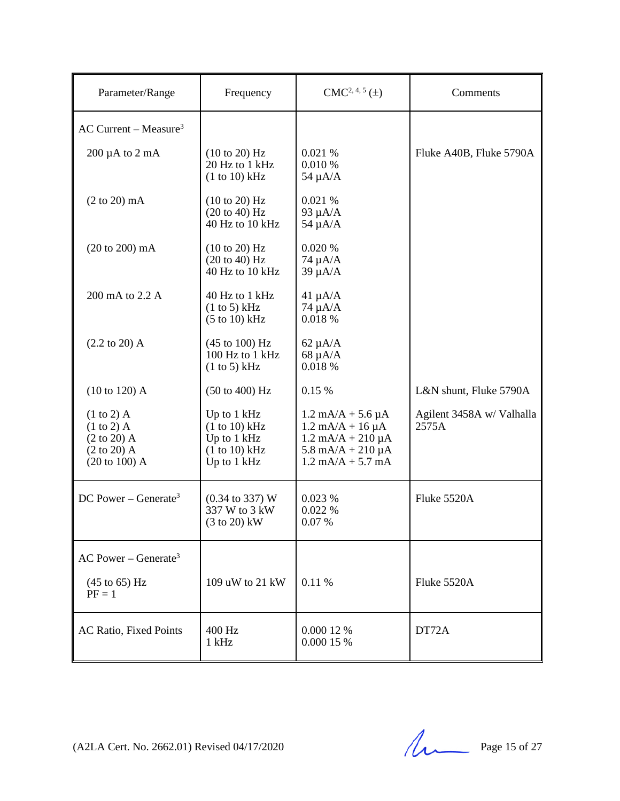| Parameter/Range                                                                                                       | Frequency                                                                      | $CMC2, 4, 5(\pm)$                                                                                                                                                                            | Comments                           |
|-----------------------------------------------------------------------------------------------------------------------|--------------------------------------------------------------------------------|----------------------------------------------------------------------------------------------------------------------------------------------------------------------------------------------|------------------------------------|
| $AC$ Current – Measure <sup>3</sup>                                                                                   |                                                                                |                                                                                                                                                                                              |                                    |
| $200 \mu A$ to $2 \mu A$                                                                                              | $(10 \text{ to } 20)$ Hz<br>20 Hz to 1 kHz<br>(1 to 10) kHz                    | 0.021%<br>0.010 %<br>$54 \mu A/A$                                                                                                                                                            | Fluke A40B, Fluke 5790A            |
| $(2 \text{ to } 20)$ mA                                                                                               | $(10 \text{ to } 20)$ Hz<br>(20 to 40) Hz<br>40 Hz to 10 kHz                   | 0.021 %<br>93 $\mu$ A/A<br>$54 \mu A/A$                                                                                                                                                      |                                    |
| (20 to 200) mA                                                                                                        | (10 to 20) Hz<br>(20 to 40) Hz<br>40 Hz to 10 kHz                              | 0.020 %<br>$74 \mu A/A$<br>$39 \mu A/A$                                                                                                                                                      |                                    |
| 200 mA to 2.2 A                                                                                                       | 40 Hz to 1 kHz<br>(1 to 5) kHz<br>$(5 \text{ to } 10) \text{ kHz}$             | $41 \mu A/A$<br>$74 \mu A/A$<br>0.018 %                                                                                                                                                      |                                    |
| $(2.2 \text{ to } 20)$ A                                                                                              | $(45 \text{ to } 100) \text{ Hz}$<br>100 Hz to 1 kHz<br>(1 to 5) kHz           | $62 \mu A/A$<br>$68 \mu A/A$<br>0.018 %                                                                                                                                                      |                                    |
| $(10 to 120)$ A                                                                                                       | $(50 \text{ to } 400) \text{ Hz}$                                              | 0.15 %                                                                                                                                                                                       | L&N shunt, Fluke 5790A             |
| $(1 \text{ to } 2)$ A<br>$(1 to 2)$ A<br>$(2 \text{ to } 20)$ A<br>$(2 \text{ to } 20)$ A<br>$(20 \text{ to } 100)$ A | Up to 1 kHz<br>$(1 to 10)$ kHz<br>Up to 1 kHz<br>(1 to 10) kHz<br>Up to 1 kHz  | $1.2 \text{ mA/A} + 5.6 \mu\text{A}$<br>$1.2 \text{ mA}/A + 16 \mu A$<br>$1.2 \text{ mA/A} + 210 \mu\text{A}$<br>$5.8 \text{ mA/A} + 210 \mu\text{A}$<br>$1.2 \text{ mA/A} + 5.7 \text{ mA}$ | Agilent 3458A w/ Valhalla<br>2575A |
| DC Power – Generate <sup>3</sup>                                                                                      | $(0.34 \text{ to } 337) \text{ W}$<br>337 W to 3 kW<br>$(3 \text{ to } 20)$ kW | 0.023%<br>0.022%<br>0.07%                                                                                                                                                                    | Fluke 5520A                        |
| AC Power – Generate <sup>3</sup>                                                                                      |                                                                                |                                                                                                                                                                                              |                                    |
| $(45 \text{ to } 65) \text{ Hz}$<br>$PF = 1$                                                                          | 109 uW to 21 kW                                                                | 0.11 %                                                                                                                                                                                       | Fluke 5520A                        |
| AC Ratio, Fixed Points                                                                                                | 400 Hz<br>$1$ kHz                                                              | 0.000 12 %<br>0.000 15 %                                                                                                                                                                     | DT72A                              |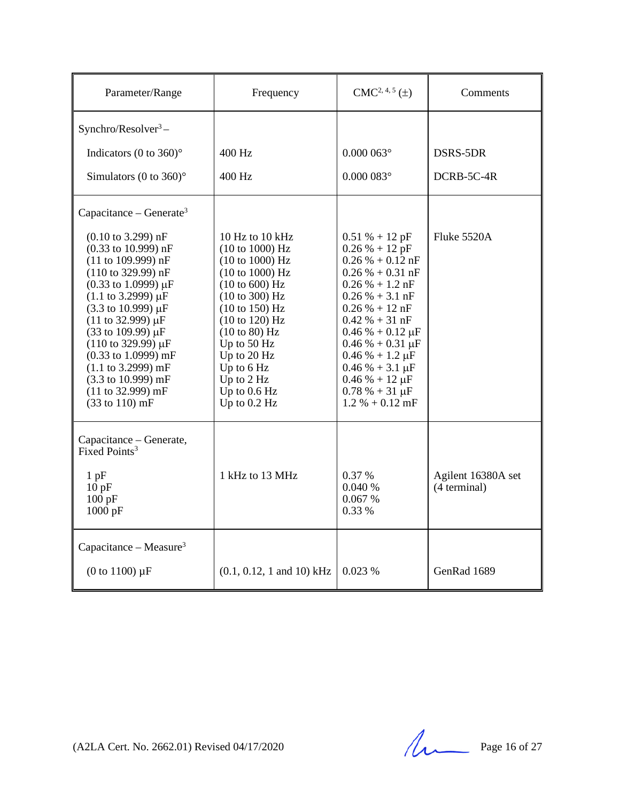| Parameter/Range                                                                                                                                                                                                                                                                                                                                                                                                                                                                                                   | Frequency                                                                                                                                                                                                                                                     | $CMC2, 4, 5(\pm)$                                                                                                                                                                                                                                                                                                                               | Comments                           |
|-------------------------------------------------------------------------------------------------------------------------------------------------------------------------------------------------------------------------------------------------------------------------------------------------------------------------------------------------------------------------------------------------------------------------------------------------------------------------------------------------------------------|---------------------------------------------------------------------------------------------------------------------------------------------------------------------------------------------------------------------------------------------------------------|-------------------------------------------------------------------------------------------------------------------------------------------------------------------------------------------------------------------------------------------------------------------------------------------------------------------------------------------------|------------------------------------|
| Synchro/Resolver $3-$                                                                                                                                                                                                                                                                                                                                                                                                                                                                                             |                                                                                                                                                                                                                                                               |                                                                                                                                                                                                                                                                                                                                                 |                                    |
| Indicators (0 to $360$ <sup>o</sup>                                                                                                                                                                                                                                                                                                                                                                                                                                                                               | $400$ Hz                                                                                                                                                                                                                                                      | $0.000063$ °                                                                                                                                                                                                                                                                                                                                    | DSRS-5DR                           |
| Simulators (0 to 360) $^{\circ}$                                                                                                                                                                                                                                                                                                                                                                                                                                                                                  | 400 Hz                                                                                                                                                                                                                                                        | $0.000083$ °                                                                                                                                                                                                                                                                                                                                    | DCRB-5C-4R                         |
| Capacitance – Generate <sup>3</sup>                                                                                                                                                                                                                                                                                                                                                                                                                                                                               |                                                                                                                                                                                                                                                               |                                                                                                                                                                                                                                                                                                                                                 |                                    |
| $(0.10 \text{ to } 3.299) \text{ nF}$<br>$(0.33 \text{ to } 10.999) \text{ nF}$<br>$(11$ to 109.999) nF<br>$(110 \text{ to } 329.99) \text{ nF}$<br>$(0.33 \text{ to } 1.0999) \mu F$<br>$(1.1 \text{ to } 3.2999) \mu F$<br>(3.3 to 10.999) µF<br>$(11 \text{ to } 32.999) \mu F$<br>$(33 \text{ to } 109.99) \,\mu\text{F}$<br>$(110 \text{ to } 329.99) \mu F$<br>$(0.33 \text{ to } 1.0999) \text{ mF}$<br>$(1.1 \text{ to } 3.2999) \text{ mF}$<br>(3.3 to 10.999) mF<br>(11 to 32.999) mF<br>(33 to 110) mF | 10 Hz to 10 kHz<br>(10 to 1000) Hz<br>(10 to 1000) Hz<br>(10 to 1000) Hz<br>(10 to 600) Hz<br>(10 to 300) Hz<br>(10 to 150) Hz<br>(10 to 120) Hz<br>(10 to 80) Hz<br>Up to 50 Hz<br>Up to 20 Hz<br>Up to 6 Hz<br>Up to 2 Hz<br>Up to $0.6$ Hz<br>Up to 0.2 Hz | $0.51 \% + 12 pF$<br>$0.26 % + 12 pF$<br>$0.26\% + 0.12$ nF<br>$0.26 % + 0.31 nF$<br>$0.26\% + 1.2\text{ nF}$<br>$0.26 \% + 3.1 nF$<br>$0.26 % + 12 nF$<br>$0.42 \% + 31 nF$<br>$0.46% + 0.12 \mu F$<br>$0.46% + 0.31 \mu F$<br>$0.46 % + 1.2 \mu F$<br>$0.46\% + 3.1 \,\mu F$<br>$0.46% + 12 \mu F$<br>$0.78% + 31 \mu F$<br>$1.2 % + 0.12 mF$ | Fluke 5520A                        |
| Capacitance – Generate,<br>Fixed Points <sup>3</sup><br>$1$ pF<br>10pF<br>100 pF<br>1000 pF                                                                                                                                                                                                                                                                                                                                                                                                                       | 1 kHz to 13 MHz                                                                                                                                                                                                                                               | 0.37 %<br>0.040%<br>0.067 %<br>0.33 %                                                                                                                                                                                                                                                                                                           | Agilent 16380A set<br>(4 terminal) |
| Capacitance – Measure <sup>3</sup>                                                                                                                                                                                                                                                                                                                                                                                                                                                                                |                                                                                                                                                                                                                                                               |                                                                                                                                                                                                                                                                                                                                                 |                                    |
| (0 to 1100) $\mu$ F                                                                                                                                                                                                                                                                                                                                                                                                                                                                                               | $(0.1, 0.12, 1 \text{ and } 10) \text{ kHz}$                                                                                                                                                                                                                  | 0.023%                                                                                                                                                                                                                                                                                                                                          | GenRad 1689                        |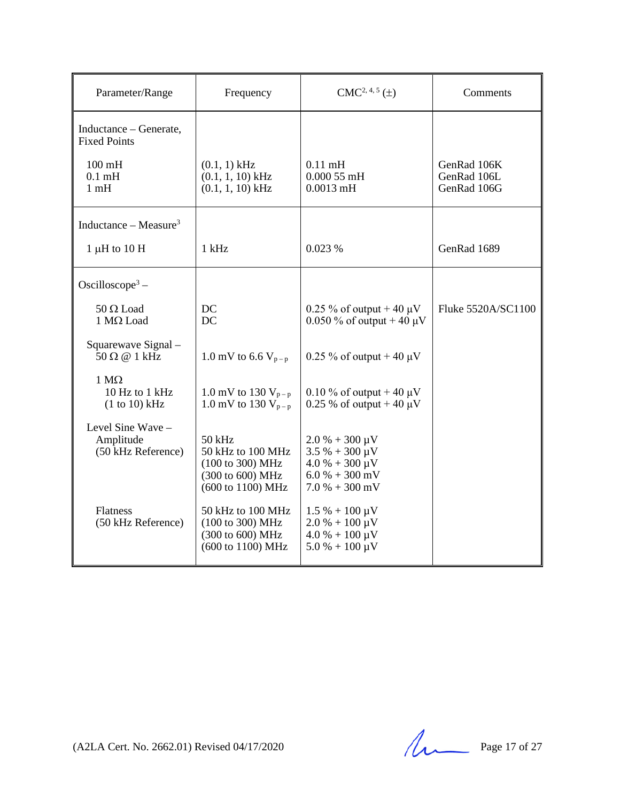| Parameter/Range                                                    | Frequency                                                                                | $CMC2, 4, 5(\pm)$                                                                                                | Comments                                  |
|--------------------------------------------------------------------|------------------------------------------------------------------------------------------|------------------------------------------------------------------------------------------------------------------|-------------------------------------------|
| Inductance – Generate,<br><b>Fixed Points</b>                      |                                                                                          |                                                                                                                  |                                           |
| $100 \text{ mH}$<br>$0.1$ mH<br>1 <sub>m</sub> H                   | $(0.1, 1)$ kHz<br>$(0.1, 1, 10)$ kHz<br>$(0.1, 1, 10)$ kHz                               | $0.11$ mH<br>$0.00055$ mH<br>$0.0013$ mH                                                                         | GenRad 106K<br>GenRad 106L<br>GenRad 106G |
| Inductance – Measure <sup>3</sup>                                  |                                                                                          |                                                                                                                  |                                           |
| $1 \mu H$ to $10 H$                                                | $1$ kHz                                                                                  | 0.023%                                                                                                           | GenRad 1689                               |
| Oscilloscope <sup>3</sup> –                                        |                                                                                          |                                                                                                                  |                                           |
| $50 \Omega$ Load<br>$1 \text{ M}\Omega$ Load                       | DC<br>DC                                                                                 | 0.25 % of output + 40 $\mu$ V<br>0.050 % of output + 40 $\mu$ V                                                  | Fluke 5520A/SC1100                        |
| Squarewave Signal -<br>$50 \Omega \n\textcircled{a} 1 \text{ kHz}$ | 1.0 mV to 6.6 $V_{p-p}$                                                                  | 0.25 % of output + 40 $\mu$ V                                                                                    |                                           |
| $1 M\Omega$<br>10 Hz to 1 kHz<br>(1 to 10) kHz                     | 1.0 mV to 130 $V_{p-p}$<br>1.0 mV to 130 $V_{p-p}$                                       | 0.10 % of output + 40 $\mu$ V<br>0.25 % of output + 40 $\mu$ V                                                   |                                           |
| Level Sine Wave -<br>Amplitude<br>(50 kHz Reference)               | 50 kHz<br>50 kHz to 100 MHz<br>(100 to 300) MHz<br>(300 to 600) MHz<br>(600 to 1100) MHz | $2.0 % + 300 \mu V$<br>$3.5 \% + 300 \mu V$<br>$4.0 % + 300 \mu V$<br>$6.0 % + 300 mV$<br>$7.0 % + 300 mV$       |                                           |
| Flatness<br>(50 kHz Reference)                                     | 50 kHz to 100 MHz<br>(100 to 300) MHz<br>(300 to 600) MHz<br>(600 to 1100) MHz           | $1.5\% + 100 \,\mu\text{V}$<br>$2.0\% + 100 \,\mu\text{V}$<br>$4.0 % + 100 \mu V$<br>$5.0\% + 100 \,\mu\text{V}$ |                                           |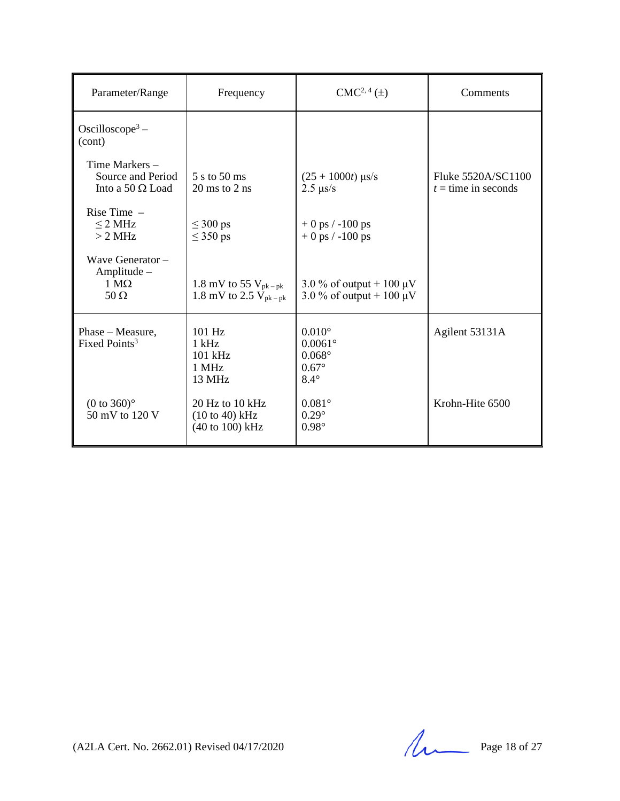| Parameter/Range                                                         | Frequency                                              | $CMC2, 4(\pm)$                                                                    | Comments                                    |
|-------------------------------------------------------------------------|--------------------------------------------------------|-----------------------------------------------------------------------------------|---------------------------------------------|
| Oscilloscope <sup>3</sup> –<br>(cont)                                   |                                                        |                                                                                   |                                             |
| Time Markers -<br>Source and Period<br>Into a 50 $\Omega$ Load          | 5 s to 50 ms<br>$20 \text{ ms}$ to $2 \text{ ns}$      | $(25 + 1000t)$ µs/s<br>$2.5 \ \mu s/s$                                            | Fluke 5520A/SC1100<br>$t =$ time in seconds |
| Rise Time $-$<br>$\leq$ 2 MHz<br>> 2 MHz                                | $\leq 300$ ps<br>$\leq$ 350 ps                         | $+0$ ps $/ -100$ ps<br>$+0$ ps $/ -100$ ps                                        |                                             |
| Wave Generator $-$<br>Amplitude -<br>$1 \text{ M}\Omega$<br>$50 \Omega$ | 1.8 mV to 55 $V_{pk-pk}$<br>1.8 mV to 2.5 $V_{pk-pk}$  | 3.0 % of output + 100 $\mu$ V<br>3.0 % of output + 100 $\mu$ V                    |                                             |
| Phase - Measure,<br>Fixed Points <sup>3</sup>                           | 101 Hz<br>$1$ kHz<br>$101$ kHz<br>1 MHz<br>13 MHz      | $0.010^\circ$<br>$0.0061^{\circ}$<br>$0.068^\circ$<br>$0.67^\circ$<br>$8.4^\circ$ | Agilent 53131A                              |
| $(0 to 360)$ °<br>50 mV to 120 V                                        | 20 Hz to 10 kHz<br>$(10 to 40)$ kHz<br>(40 to 100) kHz | $0.081^\circ$<br>$0.29^\circ$<br>$0.98^\circ$                                     | Krohn-Hite 6500                             |

(A2LA Cert. No. 2662.01) Revised 04/17/2020 Page 18 of 27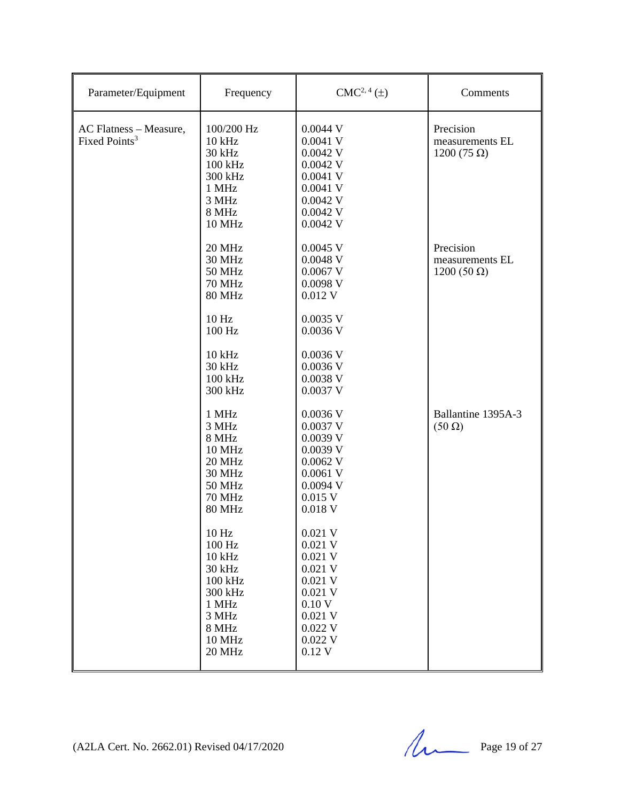| Parameter/Equipment                                 | Frequency                                                                                                                                                                                                                                              | $CMC2, 4(\pm)$                                                                                                                                                                                                                                               | Comments                                            |
|-----------------------------------------------------|--------------------------------------------------------------------------------------------------------------------------------------------------------------------------------------------------------------------------------------------------------|--------------------------------------------------------------------------------------------------------------------------------------------------------------------------------------------------------------------------------------------------------------|-----------------------------------------------------|
| AC Flatness - Measure,<br>Fixed Points <sup>3</sup> | 100/200 Hz<br>$10$ kHz<br>30 kHz<br>100 kHz<br>300 kHz<br>1 MHz<br>3 MHz<br>8 MHz<br><b>10 MHz</b>                                                                                                                                                     | $0.0044$ V<br>$0.0041$ V<br>$0.0042$ V<br>$0.0042$ V<br>$0.0041$ V<br>$0.0041$ V<br>$0.0042$ V<br>$0.0042$ V<br>$0.0042$ V                                                                                                                                   | Precision<br>measurements EL<br>1200 (75 $\Omega$ ) |
|                                                     | 20 MHz<br><b>30 MHz</b><br><b>50 MHz</b><br><b>70 MHz</b><br><b>80 MHz</b><br>10 Hz<br>100 Hz<br>10 kHz<br>30 kHz<br>100 kHz<br>300 kHz                                                                                                                | $0.0045$ V<br>$0.0048$ V<br>$0.0067$ V<br>$0.0098$ V<br>$0.012$ V<br>$0.0035$ V<br>$0.0036$ V<br>$0.0036$ V<br>$0.0036$ V<br>0.0038 V<br>$0.0037$ V                                                                                                          | Precision<br>measurements EL<br>$1200(50 \Omega)$   |
|                                                     | 1 MHz<br>3 MHz<br>8 MHz<br><b>10 MHz</b><br>20 MHz<br><b>30 MHz</b><br><b>50 MHz</b><br><b>70 MHz</b><br><b>80 MHz</b><br>10 <sub>Hz</sub><br>100 Hz<br>$10$ kHz<br>30 kHz<br>100 kHz<br>300 kHz<br>1 MHz<br>3 MHz<br>8 MHz<br><b>10 MHz</b><br>20 MHz | $0.0036$ V<br>$0.0037$ V<br>0.0039 V<br>0.0039 V<br>$0.0062$ V<br>$0.0061$ V<br>$0.0094$ V<br>$0.015$ V<br>$0.018$ V<br>0.021 V<br>$0.021$ V<br>$0.021$ V<br>$0.021$ V<br>$0.021$ V<br>$0.021$ V<br>0.10V<br>$0.021$ V<br>$0.022$ V<br>$0.022$ V<br>$0.12$ V | Ballantine 1395A-3<br>$(50 \Omega)$                 |

(A2LA Cert. No. 2662.01) Revised 04/17/2020 Page 19 of 27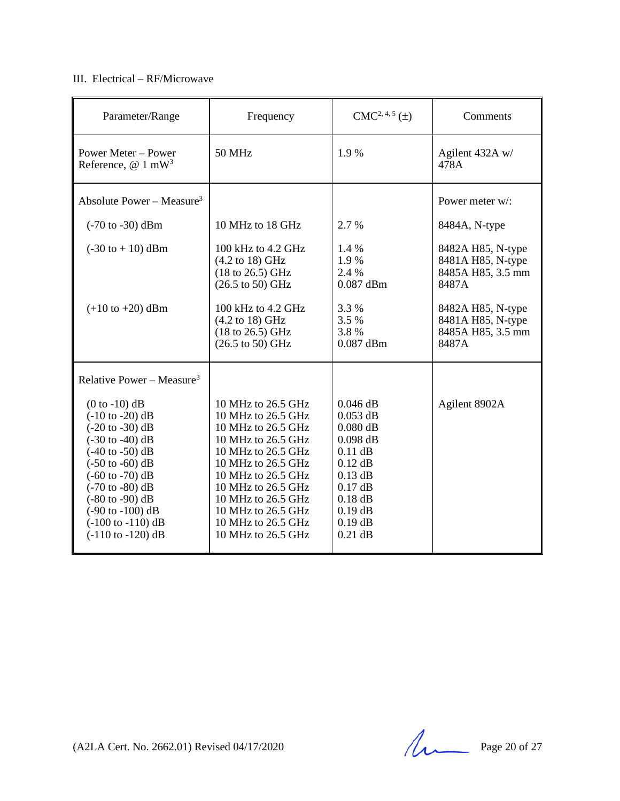## III. Electrical – RF/Microwave

| Parameter/Range                                                                                                                                                                                                                                                                                                                                                                                                                         | Frequency                                                                                                                                                                                                                                                            | $CMC2, 4, 5(\pm)$                                                                                                                                            | Comments                                                                                                                                     |
|-----------------------------------------------------------------------------------------------------------------------------------------------------------------------------------------------------------------------------------------------------------------------------------------------------------------------------------------------------------------------------------------------------------------------------------------|----------------------------------------------------------------------------------------------------------------------------------------------------------------------------------------------------------------------------------------------------------------------|--------------------------------------------------------------------------------------------------------------------------------------------------------------|----------------------------------------------------------------------------------------------------------------------------------------------|
| <b>Power Meter - Power</b><br>Reference, $@1$ mW <sup>3</sup>                                                                                                                                                                                                                                                                                                                                                                           | 50 MHz                                                                                                                                                                                                                                                               | 1.9%                                                                                                                                                         | Agilent 432A w/<br>478A                                                                                                                      |
| Absolute Power – Measure <sup>3</sup>                                                                                                                                                                                                                                                                                                                                                                                                   |                                                                                                                                                                                                                                                                      |                                                                                                                                                              | Power meter w/:                                                                                                                              |
| $(-70 \text{ to } -30) \text{ dBm}$                                                                                                                                                                                                                                                                                                                                                                                                     | 10 MHz to 18 GHz                                                                                                                                                                                                                                                     | 2.7 %                                                                                                                                                        | 8484A, N-type                                                                                                                                |
| $(-30 \text{ to } +10) \text{ dBm}$<br>$(+10 \text{ to } +20) \text{ dBm}$                                                                                                                                                                                                                                                                                                                                                              | 100 kHz to 4.2 GHz<br>(4.2 to 18) GHz<br>(18 to 26.5) GHz<br>$(26.5 \text{ to } 50) \text{ GHz}$<br>$100$ kHz to $4.2$ GHz<br>$(4.2 \text{ to } 18) \text{ GHz}$<br>$(18 \text{ to } 26.5) \text{ GHz}$<br>$(26.5 \text{ to } 50) \text{ GHz}$                       | 1.4 %<br>1.9%<br>2.4 %<br>$0.087$ dBm<br>3.3 %<br>3.5 %<br>3.8%<br>$0.087$ dBm                                                                               | 8482A H85, N-type<br>8481A H85, N-type<br>8485A H85, 3.5 mm<br>8487A<br>8482A H85, N-type<br>8481A H85, N-type<br>8485A H85, 3.5 mm<br>8487A |
| Relative Power – Measure <sup>3</sup>                                                                                                                                                                                                                                                                                                                                                                                                   |                                                                                                                                                                                                                                                                      |                                                                                                                                                              |                                                                                                                                              |
| $(0 to -10)$ dB<br>$(-10 \text{ to } -20) \text{ dB}$<br>$(-20 \text{ to } -30) \text{ dB}$<br>$(-30 \text{ to } -40) \text{ dB}$<br>$(-40 \text{ to } -50) \text{ dB}$<br>$(-50 \text{ to } -60) \text{ dB}$<br>$(-60 \text{ to } -70) \text{ dB}$<br>$(-70 \text{ to } -80) \text{ dB}$<br>$(-80 \text{ to } -90) \text{ dB}$<br>$(-90 \text{ to } -100) \text{ dB}$<br>$(-100 \text{ to } -110) \text{ dB}$<br>$(-110$ to $-120)$ dB | 10 MHz to 26.5 GHz<br>10 MHz to 26.5 GHz<br>10 MHz to 26.5 GHz<br>10 MHz to 26.5 GHz<br>10 MHz to 26.5 GHz<br>10 MHz to 26.5 GHz<br>10 MHz to 26.5 GHz<br>10 MHz to 26.5 GHz<br>10 MHz to 26.5 GHz<br>10 MHz to 26.5 GHz<br>10 MHz to 26.5 GHz<br>10 MHz to 26.5 GHz | $0.046$ dB<br>$0.053$ dB<br>$0.080$ dB<br>$0.098$ dB<br>$0.11$ dB<br>$0.12$ dB<br>$0.13$ dB<br>$0.17$ dB<br>$0.18$ dB<br>$0.19$ dB<br>$0.19$ dB<br>$0.21$ dB | Agilent 8902A                                                                                                                                |

(A2LA Cert. No. 2662.01) Revised 04/17/2020 Page 20 of 27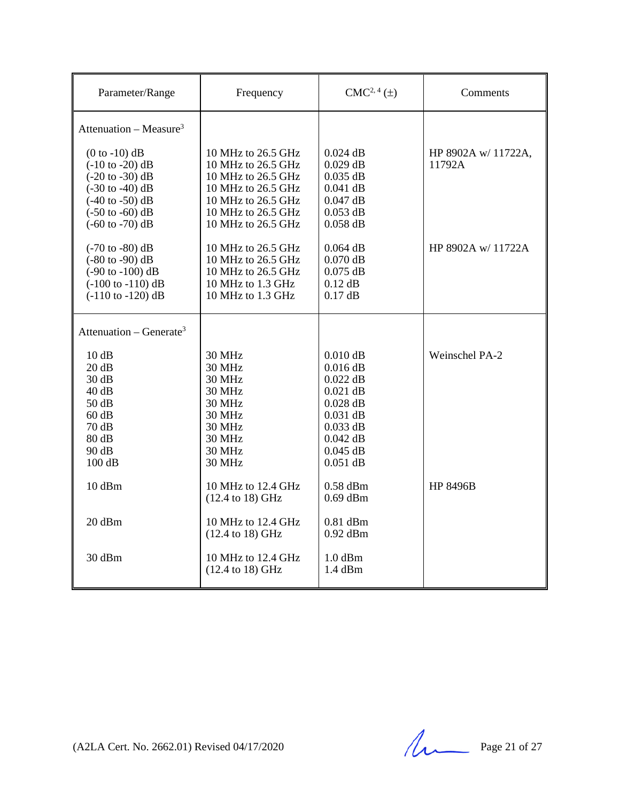| Parameter/Range                                                                                                                                                                                                                                     | Frequency                                                                                                                                                              | $CMC2, 4(\pm)$                                                                                                                           | Comments                      |
|-----------------------------------------------------------------------------------------------------------------------------------------------------------------------------------------------------------------------------------------------------|------------------------------------------------------------------------------------------------------------------------------------------------------------------------|------------------------------------------------------------------------------------------------------------------------------------------|-------------------------------|
| Attenuation – Measure <sup>3</sup>                                                                                                                                                                                                                  |                                                                                                                                                                        |                                                                                                                                          |                               |
| $(0 to -10)$ dB<br>$(-10 \text{ to } -20) \text{ dB}$<br>$(-20 \text{ to } -30) \text{ dB}$<br>$(-30 \text{ to } -40) \text{ dB}$<br>$(-40 \text{ to } -50) \text{ dB}$<br>$(-50 \text{ to } -60) \text{ dB}$<br>$(-60 \text{ to } -70) \text{ dB}$ | 10 MHz to 26.5 GHz<br>10 MHz to 26.5 GHz<br>10 MHz to 26.5 GHz<br>10 MHz to 26.5 GHz<br>10 MHz to 26.5 GHz<br>10 MHz to 26.5 GHz<br>10 MHz to 26.5 GHz                 | $0.024$ dB<br>$0.029$ dB<br>$0.035$ dB<br>$0.041$ dB<br>$0.047$ dB<br>$0.053$ dB<br>$0.058$ dB                                           | HP 8902A w/ 11722A,<br>11792A |
| $(-70 \text{ to } -80) \text{ dB}$<br>$(-80 \text{ to } -90) \text{ dB}$<br>$(-90 \text{ to } -100) \text{ dB}$<br>$(-100 \text{ to } -110) \text{ dB}$<br>$(-110$ to $-120)$ dB                                                                    | 10 MHz to 26.5 GHz<br>10 MHz to 26.5 GHz<br>10 MHz to 26.5 GHz<br>10 MHz to 1.3 GHz<br>10 MHz to 1.3 GHz                                                               | $0.064$ dB<br>$0.070$ dB<br>$0.075$ dB<br>$0.12$ dB<br>$0.17$ dB                                                                         | HP 8902A w/11722A             |
| Attenuation – Generate <sup>3</sup>                                                                                                                                                                                                                 |                                                                                                                                                                        |                                                                                                                                          |                               |
| 10dB<br>20 dB<br>30 dB<br>40dB<br>50 dB<br>60 dB<br>70 dB<br>80 dB<br>90 dB<br>100dB                                                                                                                                                                | <b>30 MHz</b><br><b>30 MHz</b><br><b>30 MHz</b><br><b>30 MHz</b><br><b>30 MHz</b><br><b>30 MHz</b><br><b>30 MHz</b><br><b>30 MHz</b><br><b>30 MHz</b><br><b>30 MHz</b> | $0.010$ dB<br>$0.016$ dB<br>$0.022$ dB<br>$0.021$ dB<br>$0.028$ dB<br>$0.031$ dB<br>$0.033$ dB<br>$0.042$ dB<br>$0.045$ dB<br>$0.051$ dB | Weinschel PA-2                |
| 10 dBm                                                                                                                                                                                                                                              | 10 MHz to 12.4 GHz<br>(12.4 to 18) GHz                                                                                                                                 | $0.58$ dBm<br>$0.69$ dBm                                                                                                                 | <b>HP 8496B</b>               |
| 20 dBm                                                                                                                                                                                                                                              | 10 MHz to 12.4 GHz<br>(12.4 to 18) GHz                                                                                                                                 | $0.81$ dBm<br>$0.92$ dBm                                                                                                                 |                               |
| 30 dBm                                                                                                                                                                                                                                              | 10 MHz to 12.4 GHz<br>(12.4 to 18) GHz                                                                                                                                 | $1.0$ dBm<br>1.4 dBm                                                                                                                     |                               |

(A2LA Cert. No. 2662.01) Revised 04/17/2020 Page 21 of 27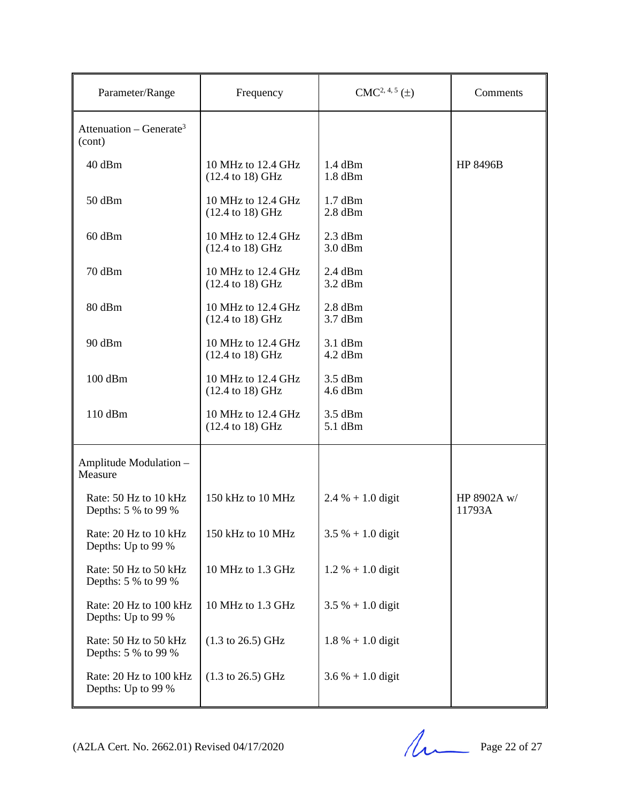| Parameter/Range                               | Frequency                                                   | $CMC2, 4, 5(\pm)$      | Comments              |
|-----------------------------------------------|-------------------------------------------------------------|------------------------|-----------------------|
| Attenuation – Generate <sup>3</sup><br>(cont) |                                                             |                        |                       |
| 40 dBm                                        | 10 MHz to $12.4$ GHz<br>$(12.4 \text{ to } 18) \text{ GHz}$ | $1.4$ dBm<br>$1.8$ dBm | <b>HP 8496B</b>       |
| 50 dBm                                        | 10 MHz to 12.4 GHz<br>(12.4 to 18) GHz                      | $1.7$ dBm<br>$2.8$ dBm |                       |
| 60 dBm                                        | 10 MHz to 12.4 GHz<br>$(12.4 \text{ to } 18) \text{ GHz}$   | $2.3$ dBm<br>$3.0$ dBm |                       |
| 70 dBm                                        | 10 MHz to 12.4 GHz<br>(12.4 to 18) GHz                      | $2.4$ dBm<br>$3.2$ dBm |                       |
| 80 dBm                                        | 10 MHz to 12.4 GHz<br>$(12.4 \text{ to } 18) \text{ GHz}$   | $2.8$ dBm<br>$3.7$ dBm |                       |
| 90 dBm                                        | 10 MHz to 12.4 GHz<br>$(12.4 \text{ to } 18) \text{ GHz}$   | $3.1$ dBm<br>$4.2$ dBm |                       |
| 100 dBm                                       | 10 MHz to 12.4 GHz<br>$(12.4 \text{ to } 18) \text{ GHz}$   | $3.5$ dBm<br>$4.6$ dBm |                       |
| 110 dBm                                       | 10 MHz to 12.4 GHz<br>$(12.4 \text{ to } 18) \text{ GHz}$   | $3.5$ dBm<br>5.1 dBm   |                       |
| Amplitude Modulation -<br>Measure             |                                                             |                        |                       |
| Rate: 50 Hz to 10 kHz<br>Depths: 5 % to 99 %  | 150 kHz to 10 MHz                                           | $2.4 % + 1.0$ digit    | HP 8902A w/<br>11793A |
| Rate: 20 Hz to 10 kHz<br>Depths: Up to 99 %   | 150 kHz to 10 MHz                                           | $3.5\% + 1.0$ digit    |                       |
| Rate: 50 Hz to 50 kHz<br>Depths: 5 % to 99 %  | 10 MHz to 1.3 GHz                                           | $1.2 % + 1.0$ digit    |                       |
| Rate: 20 Hz to 100 kHz<br>Depths: Up to 99 %  | 10 MHz to 1.3 GHz                                           | $3.5 \% + 1.0$ digit   |                       |
| Rate: 50 Hz to 50 kHz<br>Depths: 5 % to 99 %  | $(1.3 \text{ to } 26.5) \text{ GHz}$                        | $1.8 \% + 1.0$ digit   |                       |
| Rate: 20 Hz to 100 kHz<br>Depths: Up to 99 %  | $(1.3 \text{ to } 26.5) \text{ GHz}$                        | $3.6 % + 1.0$ digit    |                       |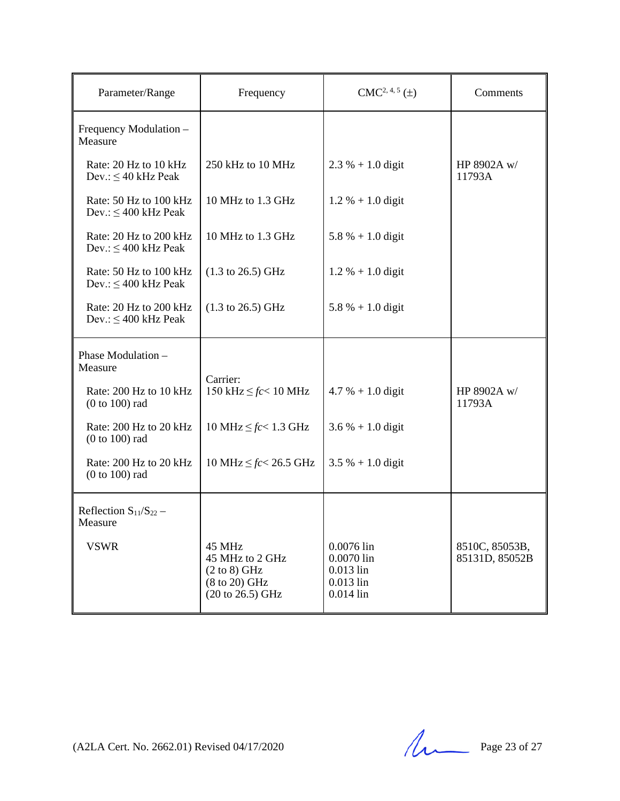| Parameter/Range                                     | Frequency                                                                                 | $CMC2, 4, 5(\pm)$                                                     | Comments                         |
|-----------------------------------------------------|-------------------------------------------------------------------------------------------|-----------------------------------------------------------------------|----------------------------------|
| Frequency Modulation -<br>Measure                   |                                                                                           |                                                                       |                                  |
| Rate: 20 Hz to 10 kHz<br>Dev.: $\leq 40$ kHz Peak   | 250 kHz to 10 MHz                                                                         | $2.3 \% + 1.0$ digit                                                  | HP 8902A w/<br>11793A            |
| Rate: 50 Hz to 100 kHz<br>Dev.: $\leq 400$ kHz Peak | 10 MHz to 1.3 GHz                                                                         | $1.2 % + 1.0$ digit                                                   |                                  |
| Rate: 20 Hz to 200 kHz<br>Dev.: $\leq 400$ kHz Peak | 10 MHz to 1.3 GHz                                                                         | $5.8 \% + 1.0$ digit                                                  |                                  |
| Rate: 50 Hz to 100 kHz<br>Dev.: $\leq 400$ kHz Peak | $(1.3 \text{ to } 26.5) \text{ GHz}$                                                      | $1.2 % + 1.0$ digit                                                   |                                  |
| Rate: 20 Hz to 200 kHz<br>Dev.: $\leq 400$ kHz Peak | $(1.3 \text{ to } 26.5) \text{ GHz}$                                                      | $5.8 \% + 1.0$ digit                                                  |                                  |
| Phase Modulation -<br>Measure                       |                                                                                           |                                                                       |                                  |
| Rate: 200 Hz to 10 kHz<br>$(0 to 100)$ rad          | Carrier:<br>150 kHz $\leq$ fc $<$ 10 MHz                                                  | $4.7 % + 1.0$ digit                                                   | HP 8902A w/<br>11793A            |
| Rate: 200 Hz to 20 kHz<br>$(0 to 100)$ rad          | 10 MHz $\leq$ <i>fc</i> < 1.3 GHz                                                         | $3.6 % + 1.0$ digit                                                   |                                  |
| Rate: 200 Hz to 20 kHz<br>$(0 to 100)$ rad          | 10 MHz $\leq$ <i>fc</i> < 26.5 GHz                                                        | $3.5 \% + 1.0$ digit                                                  |                                  |
| Reflection $S_{11}/S_{22}$ –<br>Measure             |                                                                                           |                                                                       |                                  |
| <b>VSWR</b>                                         | 45 MHz<br>45 MHz to 2 GHz<br>$(2 \text{ to } 8)$ GHz<br>(8 to 20) GHz<br>(20 to 26.5) GHz | 0.0076 lin<br>0.0070 lin<br>$0.013$ lin<br>$0.013$ lin<br>$0.014$ lin | 8510C, 85053B,<br>85131D, 85052B |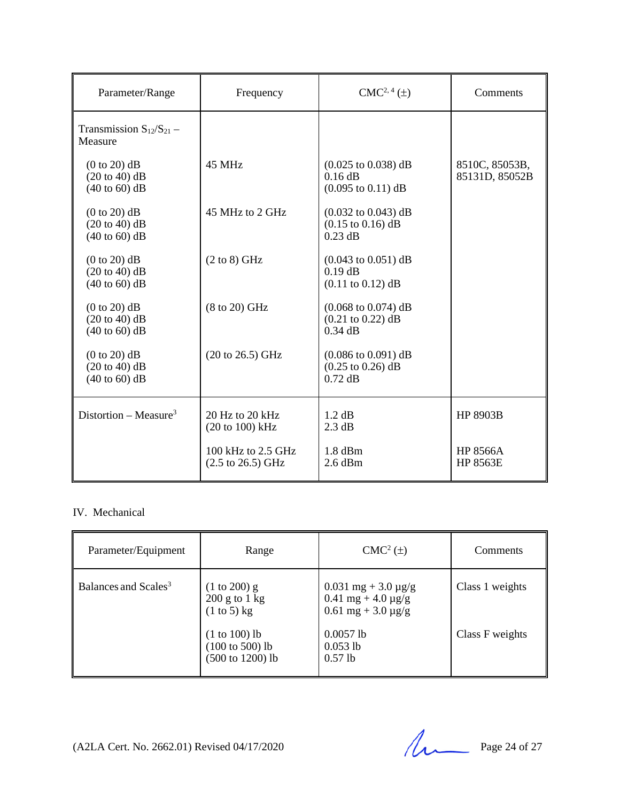| Parameter/Range                                               | Frequency                                                  | $CMC2, 4(\pm)$                                                                               | Comments                           |
|---------------------------------------------------------------|------------------------------------------------------------|----------------------------------------------------------------------------------------------|------------------------------------|
| Transmission $S_{12}/S_{21}$ –<br>Measure                     |                                                            |                                                                                              |                                    |
| $(0 to 20)$ dB<br>$(20 to 40)$ dB<br>$(40 \text{ to } 60)$ dB | 45 MHz                                                     | $(0.025 \text{ to } 0.038) \text{ dB}$<br>$0.16$ dB<br>$(0.095 \text{ to } 0.11) \text{ dB}$ | 8510C, 85053B,<br>85131D, 85052B   |
| $(0 to 20)$ dB<br>$(20 to 40)$ dB<br>$(40 \text{ to } 60)$ dB | 45 MHz to 2 GHz                                            | $(0.032 \text{ to } 0.043) \text{ dB}$<br>$(0.15 \text{ to } 0.16) \text{ dB}$<br>$0.23$ dB  |                                    |
| $(0 to 20)$ dB<br>$(20 to 40)$ dB<br>$(40 \text{ to } 60)$ dB | $(2 \text{ to } 8)$ GHz                                    | $(0.043 \text{ to } 0.051) \text{ dB}$<br>$0.19$ dB<br>$(0.11 \text{ to } 0.12) \text{ dB}$  |                                    |
| $(0 to 20)$ dB<br>$(20 to 40)$ dB<br>$(40 \text{ to } 60)$ dB | $(8 \text{ to } 20)$ GHz                                   | $(0.068 \text{ to } 0.074) \text{ dB}$<br>$(0.21 \text{ to } 0.22) \text{ dB}$<br>$0.34$ dB  |                                    |
| $(0 to 20)$ dB<br>$(20 to 40)$ dB<br>$(40 \text{ to } 60)$ dB | $(20 \text{ to } 26.5) \text{ GHz}$                        | $(0.086 \text{ to } 0.091) \text{ dB}$<br>$(0.25 \text{ to } 0.26) \text{ dB}$<br>$0.72$ dB  |                                    |
| Distortion – Measure <sup>3</sup>                             | 20 Hz to 20 kHz<br>$(20 \text{ to } 100) \text{ kHz}$      | 1.2 dB<br>$2.3 \text{ dB}$                                                                   | <b>HP 8903B</b>                    |
|                                                               | 100 kHz to 2.5 GHz<br>$(2.5 \text{ to } 26.5) \text{ GHz}$ | $1.8$ dBm<br>$2.6$ dBm                                                                       | <b>HP 8566A</b><br><b>HP 8563E</b> |

## IV. Mechanical

| Parameter/Equipment              | Range                                                             | $CMC2(\pm)$                                                                     | Comments        |
|----------------------------------|-------------------------------------------------------------------|---------------------------------------------------------------------------------|-----------------|
| Balances and Scales <sup>3</sup> | $(1 to 200)$ g<br>$200$ g to 1 kg<br>$(1 \text{ to } 5)$ kg       | $0.031$ mg + 3.0 µg/g<br>$0.41$ mg + 4.0 $\mu$ g/g<br>$0.61$ mg + 3.0 $\mu$ g/g | Class 1 weights |
|                                  | $(1 to 100)$ lb<br>$(100 \text{ to } 500)$ lb<br>(500 to 1200) lb | $0.0057$ lb<br>$0.053$ lb<br>$0.57$ lb                                          | Class F weights |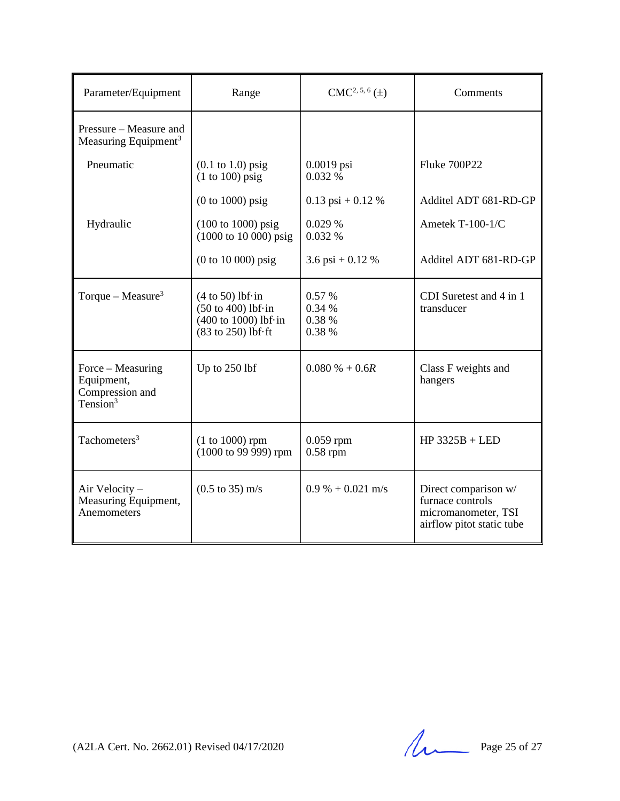| Parameter/Equipment                                                        | Range                                                                                                                                   | $CMC2, 5, 6(\pm)$                    | Comments                                                                                     |
|----------------------------------------------------------------------------|-----------------------------------------------------------------------------------------------------------------------------------------|--------------------------------------|----------------------------------------------------------------------------------------------|
| Pressure – Measure and<br>Measuring Equipment <sup>3</sup>                 |                                                                                                                                         |                                      |                                                                                              |
| Pneumatic                                                                  | $(0.1 \text{ to } 1.0)$ psig<br>$(1 to 100)$ psig                                                                                       | $0.0019$ psi<br>0.032%               | <b>Fluke 700P22</b>                                                                          |
|                                                                            | $(0 to 1000)$ psig                                                                                                                      | $0.13$ psi + 0.12 %                  | Additel ADT 681-RD-GP                                                                        |
| Hydraulic                                                                  | $(100 \text{ to } 1000) \text{ psig}$<br>$(1000 \text{ to } 10000) \text{ psig}$                                                        | 0.029%<br>0.032 %                    | Ametek T-100-1/C                                                                             |
|                                                                            | $(0 to 10 000)$ psig                                                                                                                    | 3.6 psi + 0.12 %                     | Additel ADT 681-RD-GP                                                                        |
| Torque – Measure <sup>3</sup>                                              | $(4 \text{ to } 50)$ lbf $\cdot$ in<br>$(50 \text{ to } 400)$ lbf $\cdot$ in<br>$(400 \text{ to } 1000)$ lbf·in<br>(83 to 250) lbf · ft | 0.57 %<br>0.34 %<br>0.38 %<br>0.38 % | CDI Suretest and 4 in 1<br>transducer                                                        |
| Force – Measuring<br>Equipment,<br>Compression and<br>Tension <sup>3</sup> | Up to $250$ lbf                                                                                                                         | $0.080\% + 0.6R$                     | Class F weights and<br>hangers                                                               |
| Tachometers <sup>3</sup>                                                   | $(1 to 1000)$ rpm<br>(1000 to 99 999) rpm                                                                                               | $0.059$ rpm<br>$0.58$ rpm            | $HP$ 3325B + LED                                                                             |
| Air Velocity -<br>Measuring Equipment,<br>Anemometers                      | $(0.5 \text{ to } 35) \text{ m/s}$                                                                                                      | $0.9\% + 0.021$ m/s                  | Direct comparison w/<br>furnace controls<br>micromanometer, TSI<br>airflow pitot static tube |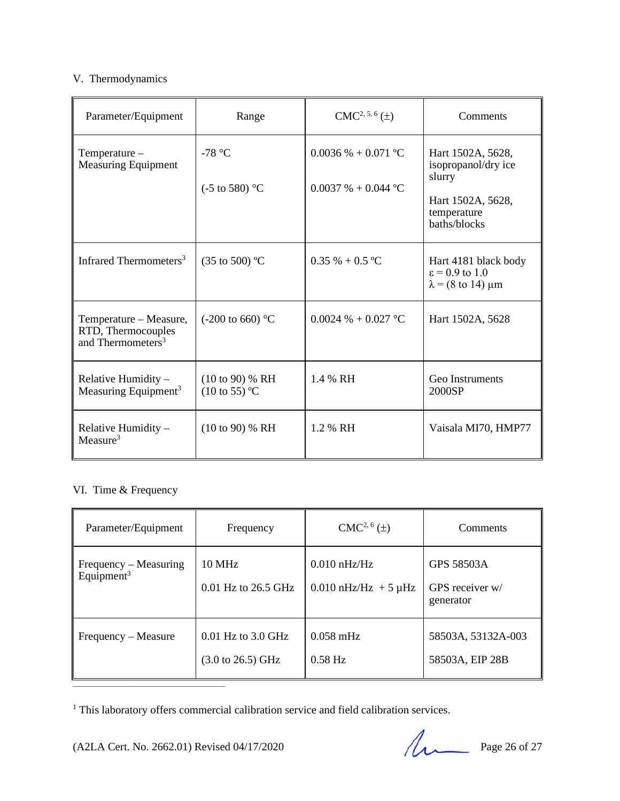# V. Thermodynamics

| Parameter/Equipment                                                           | Range                                                  | $CMC2, 5, 6(\pm)$                                    | Comments                                                                                               |
|-------------------------------------------------------------------------------|--------------------------------------------------------|------------------------------------------------------|--------------------------------------------------------------------------------------------------------|
| Temperature -<br><b>Measuring Equipment</b>                                   | -78 $\degree$ C<br>$(-5 \text{ to } 580)$ °C           | $0.0036\% + 0.071$ °C<br>$0.0037\% + 0.044\degree C$ | Hart 1502A, 5628,<br>isopropanol/dry ice<br>slurry<br>Hart 1502A, 5628,<br>temperature<br>baths/blocks |
| Infrared Thermometers <sup>3</sup>                                            | $(35 \text{ to } 500)$ °C                              | $0.35\% + 0.5\,^{\circ}\mathrm{C}$                   | Hart 4181 black body<br>$\epsilon$ = 0.9 to 1.0<br>$\lambda$ = (8 to 14) $\mu$ m                       |
| Temperature – Measure,<br>RTD, Thermocouples<br>and Thermometers <sup>3</sup> | $(-200 \text{ to } 660)$ °C                            | $0.0024 \% + 0.027 °C$                               | Hart 1502A, 5628                                                                                       |
| Relative Humidity $-$<br>Measuring Equipment <sup>3</sup>                     | $(10 \text{ to } 90)$ % RH<br>$(10 \text{ to } 55)$ °C | 1.4 % RH                                             | Geo Instruments<br>2000SP                                                                              |
| Relative Humidity -<br>Measure <sup>3</sup>                                   | $(10 \text{ to } 90)$ % RH                             | 1.2 % RH                                             | Vaisala MI70, HMP77                                                                                    |

# VI. Time & Frequency

| Parameter/Equipment                             | Frequency                                                      | $CMC2, 6(\pm)$                                | Comments                                   |
|-------------------------------------------------|----------------------------------------------------------------|-----------------------------------------------|--------------------------------------------|
| Frequency – Measuring<br>Equipment <sup>3</sup> | <b>10 MHz</b><br>$0.01$ Hz to 26.5 GHz                         | $0.010$ nHz/Hz<br>$0.010$ nHz/Hz + 5 $\mu$ Hz | GPS 58503A<br>GPS receiver w/<br>generator |
| Frequency – Measure                             | $0.01$ Hz to $3.0$ GHz<br>$(3.0 \text{ to } 26.5) \text{ GHz}$ | $0.058$ mHz<br>$0.58$ Hz                      | 58503A, 53132A-003<br>58503A, EIP 28B      |

<sup>1</sup> This laboratory offers commercial calibration service and field calibration services.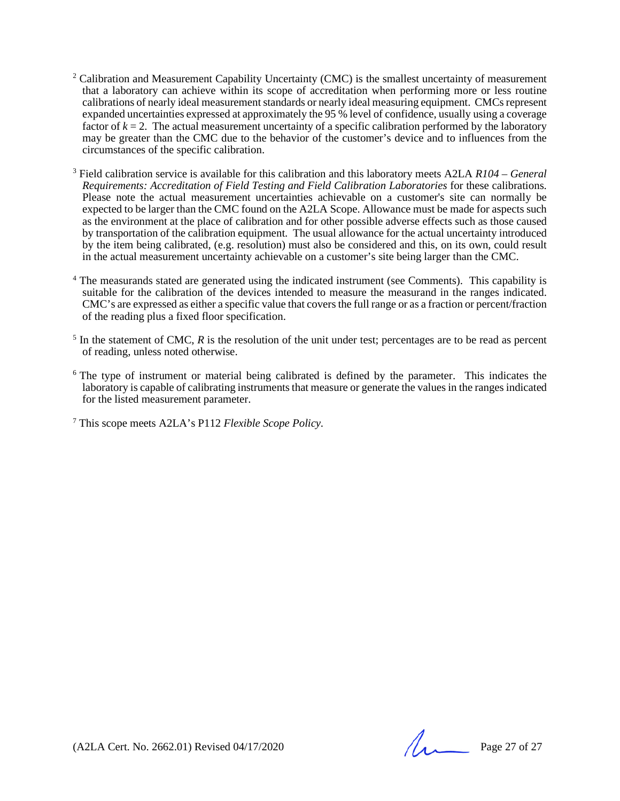- <sup>2</sup> Calibration and Measurement Capability Uncertainty (CMC) is the smallest uncertainty of measurement that a laboratory can achieve within its scope of accreditation when performing more or less routine calibrations of nearly ideal measurement standards or nearly ideal measuring equipment. CMCs represent expanded uncertainties expressed at approximately the 95 % level of confidence, usually using a coverage factor of  $k = 2$ . The actual measurement uncertainty of a specific calibration performed by the laboratory may be greater than the CMC due to the behavior of the customer's device and to influences from the circumstances of the specific calibration.
- <sup>3</sup> Field calibration service is available for this calibration and this laboratory meets A2LA *R104 – General Requirements: Accreditation of Field Testing and Field Calibration Laboratories* for these calibrations. Please note the actual measurement uncertainties achievable on a customer's site can normally be expected to be larger than the CMC found on the A2LA Scope. Allowance must be made for aspects such as the environment at the place of calibration and for other possible adverse effects such as those caused by transportation of the calibration equipment. The usual allowance for the actual uncertainty introduced by the item being calibrated, (e.g. resolution) must also be considered and this, on its own, could result in the actual measurement uncertainty achievable on a customer's site being larger than the CMC.
- <sup>4</sup> The measurands stated are generated using the indicated instrument (see Comments). This capability is suitable for the calibration of the devices intended to measure the measurand in the ranges indicated. CMC's are expressed as either a specific value that covers the full range or as a fraction or percent/fraction of the reading plus a fixed floor specification.
- <sup>5</sup> In the statement of CMC, *R* is the resolution of the unit under test; percentages are to be read as percent of reading, unless noted otherwise.
- <sup>6</sup> The type of instrument or material being calibrated is defined by the parameter. This indicates the laboratory is capable of calibrating instruments that measure or generate the values in the ranges indicated for the listed measurement parameter.

<sup>7</sup> This scope meets A2LA's P112 *Flexible Scope Policy.*